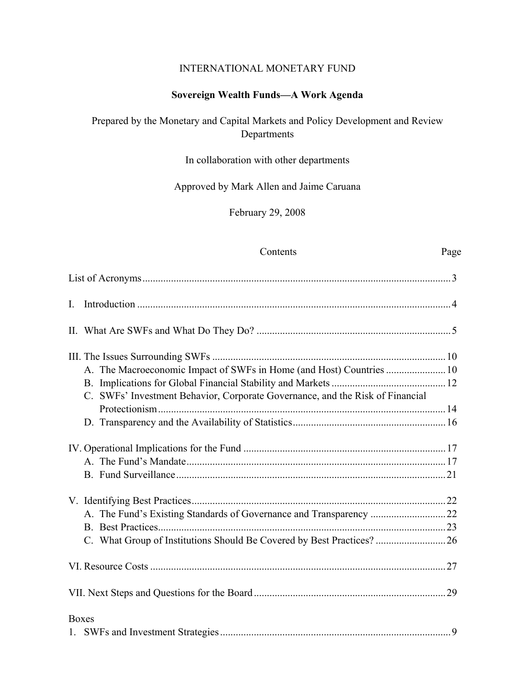#### INTERNATIONAL MONETARY FUND

### **Sovereign Wealth Funds—A Work Agenda**

### Prepared by the Monetary and Capital Markets and Policy Development and Review Departments

### In collaboration with other departments

### Approved by Mark Allen and Jaime Caruana

February 29, 2008

#### Contents Page

| $\mathbf{I}$ .                                                                |  |
|-------------------------------------------------------------------------------|--|
|                                                                               |  |
|                                                                               |  |
| A. The Macroeconomic Impact of SWFs in Home (and Host) Countries  10          |  |
|                                                                               |  |
| C. SWFs' Investment Behavior, Corporate Governance, and the Risk of Financial |  |
|                                                                               |  |
|                                                                               |  |
|                                                                               |  |
|                                                                               |  |
|                                                                               |  |
|                                                                               |  |
|                                                                               |  |
|                                                                               |  |
|                                                                               |  |
|                                                                               |  |
|                                                                               |  |
| <b>Boxes</b>                                                                  |  |
|                                                                               |  |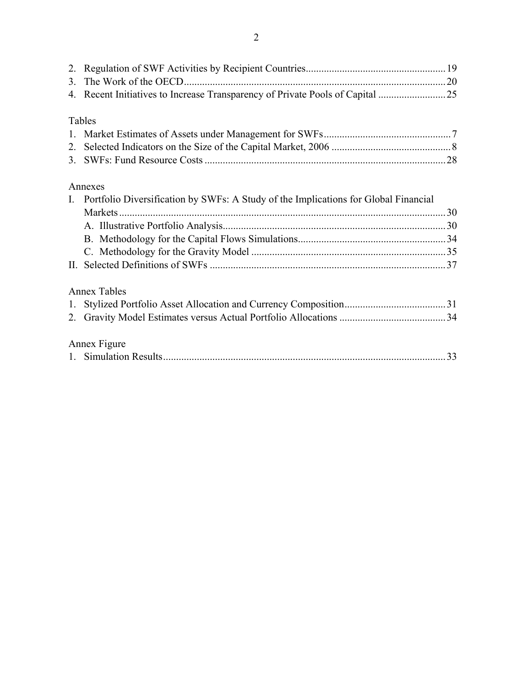| Tables                                                                                 |    |
|----------------------------------------------------------------------------------------|----|
|                                                                                        |    |
|                                                                                        |    |
|                                                                                        |    |
|                                                                                        |    |
| Annexes                                                                                |    |
| I. Portfolio Diversification by SWFs: A Study of the Implications for Global Financial |    |
| Markets.                                                                               |    |
|                                                                                        |    |
|                                                                                        |    |
|                                                                                        |    |
|                                                                                        |    |
|                                                                                        |    |
| <b>Annex Tables</b>                                                                    |    |
|                                                                                        |    |
|                                                                                        |    |
|                                                                                        |    |
| Annex Figure                                                                           |    |
|                                                                                        | 33 |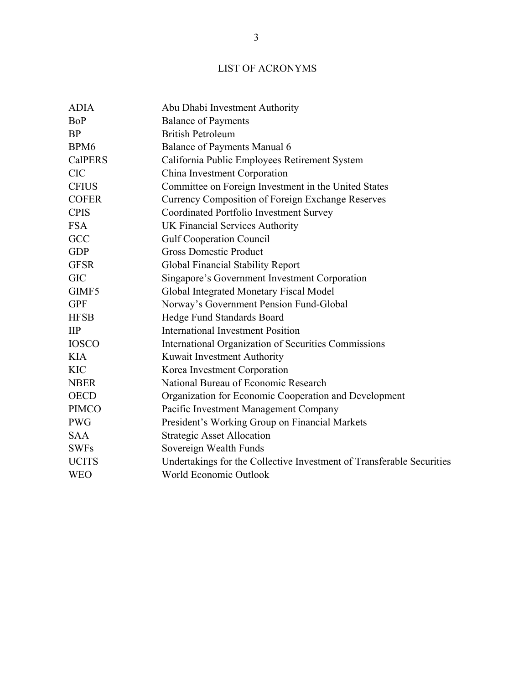# LIST OF ACRONYMS

| <b>ADIA</b>              | Abu Dhabi Investment Authority                                        |
|--------------------------|-----------------------------------------------------------------------|
| <b>BoP</b>               | <b>Balance of Payments</b>                                            |
| <b>BP</b>                | <b>British Petroleum</b>                                              |
| BPM <sub>6</sub>         | Balance of Payments Manual 6                                          |
| <b>CalPERS</b>           | California Public Employees Retirement System                         |
| <b>CIC</b>               | China Investment Corporation                                          |
| <b>CFIUS</b>             | Committee on Foreign Investment in the United States                  |
| <b>COFER</b>             | <b>Currency Composition of Foreign Exchange Reserves</b>              |
| <b>CPIS</b>              | Coordinated Portfolio Investment Survey                               |
| <b>FSA</b>               | UK Financial Services Authority                                       |
| GCC                      | <b>Gulf Cooperation Council</b>                                       |
| <b>GDP</b>               | <b>Gross Domestic Product</b>                                         |
| <b>GFSR</b>              | Global Financial Stability Report                                     |
| <b>GIC</b>               | Singapore's Government Investment Corporation                         |
| GIMF5                    | Global Integrated Monetary Fiscal Model                               |
| <b>GPF</b>               | Norway's Government Pension Fund-Global                               |
| <b>HFSB</b>              | Hedge Fund Standards Board                                            |
| $\mathbf{II} \mathbf{P}$ | <b>International Investment Position</b>                              |
| <b>IOSCO</b>             | International Organization of Securities Commissions                  |
| <b>KIA</b>               | Kuwait Investment Authority                                           |
| <b>KIC</b>               | Korea Investment Corporation                                          |
| <b>NBER</b>              | National Bureau of Economic Research                                  |
| <b>OECD</b>              | Organization for Economic Cooperation and Development                 |
| <b>PIMCO</b>             | Pacific Investment Management Company                                 |
| <b>PWG</b>               | President's Working Group on Financial Markets                        |
| <b>SAA</b>               | <b>Strategic Asset Allocation</b>                                     |
| <b>SWFs</b>              | Sovereign Wealth Funds                                                |
| <b>UCITS</b>             | Undertakings for the Collective Investment of Transferable Securities |
| <b>WEO</b>               | World Economic Outlook                                                |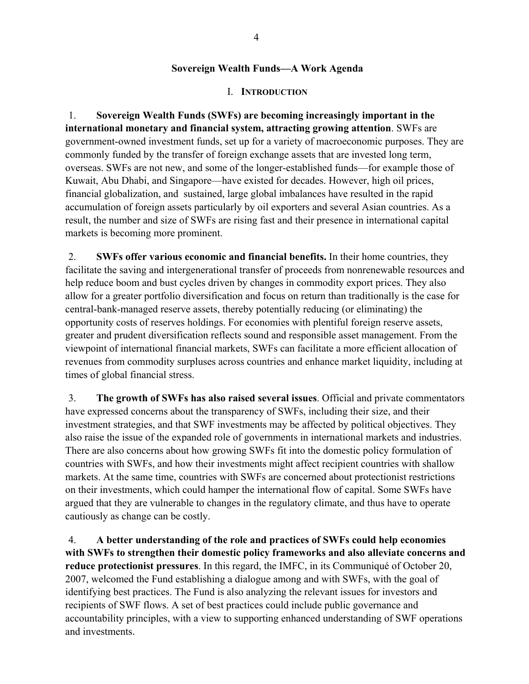#### **Sovereign Wealth Funds—A Work Agenda**

#### I. **INTRODUCTION**

1. **Sovereign Wealth Funds (SWFs) are becoming increasingly important in the international monetary and financial system, attracting growing attention**. SWFs are government-owned investment funds, set up for a variety of macroeconomic purposes. They are commonly funded by the transfer of foreign exchange assets that are invested long term, overseas. SWFs are not new, and some of the longer-established funds—for example those of Kuwait, Abu Dhabi, and Singapore—have existed for decades. However, high oil prices, financial globalization, and sustained, large global imbalances have resulted in the rapid accumulation of foreign assets particularly by oil exporters and several Asian countries. As a result, the number and size of SWFs are rising fast and their presence in international capital markets is becoming more prominent.

2. **SWFs offer various economic and financial benefits.** In their home countries, they facilitate the saving and intergenerational transfer of proceeds from nonrenewable resources and help reduce boom and bust cycles driven by changes in commodity export prices. They also allow for a greater portfolio diversification and focus on return than traditionally is the case for central-bank-managed reserve assets, thereby potentially reducing (or eliminating) the opportunity costs of reserves holdings. For economies with plentiful foreign reserve assets, greater and prudent diversification reflects sound and responsible asset management. From the viewpoint of international financial markets, SWFs can facilitate a more efficient allocation of revenues from commodity surpluses across countries and enhance market liquidity, including at times of global financial stress.

3. **The growth of SWFs has also raised several issues**. Official and private commentators have expressed concerns about the transparency of SWFs, including their size, and their investment strategies, and that SWF investments may be affected by political objectives. They also raise the issue of the expanded role of governments in international markets and industries. There are also concerns about how growing SWFs fit into the domestic policy formulation of countries with SWFs, and how their investments might affect recipient countries with shallow markets. At the same time, countries with SWFs are concerned about protectionist restrictions on their investments, which could hamper the international flow of capital. Some SWFs have argued that they are vulnerable to changes in the regulatory climate, and thus have to operate cautiously as change can be costly.

4. **A better understanding of the role and practices of SWFs could help economies with SWFs to strengthen their domestic policy frameworks and also alleviate concerns and reduce protectionist pressures**. In this regard, the IMFC, in its Communiqué of October 20, 2007, welcomed the Fund establishing a dialogue among and with SWFs, with the goal of identifying best practices. The Fund is also analyzing the relevant issues for investors and recipients of SWF flows. A set of best practices could include public governance and accountability principles, with a view to supporting enhanced understanding of SWF operations and investments.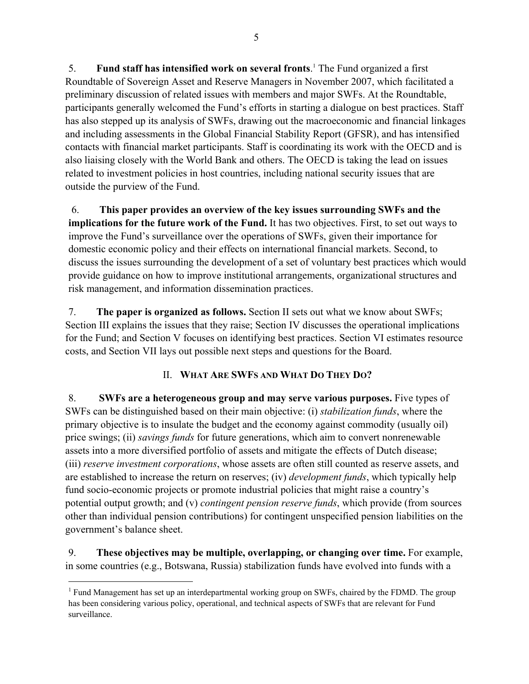5. **Fund staff has intensified work on several fronts**. 1 The Fund organized a first Roundtable of Sovereign Asset and Reserve Managers in November 2007, which facilitated a preliminary discussion of related issues with members and major SWFs. At the Roundtable, participants generally welcomed the Fund's efforts in starting a dialogue on best practices. Staff has also stepped up its analysis of SWFs, drawing out the macroeconomic and financial linkages and including assessments in the Global Financial Stability Report (GFSR), and has intensified contacts with financial market participants. Staff is coordinating its work with the OECD and is also liaising closely with the World Bank and others. The OECD is taking the lead on issues related to investment policies in host countries, including national security issues that are outside the purview of the Fund.

6. **This paper provides an overview of the key issues surrounding SWFs and the implications for the future work of the Fund.** It has two objectives. First, to set out ways to improve the Fund's surveillance over the operations of SWFs, given their importance for domestic economic policy and their effects on international financial markets. Second, to discuss the issues surrounding the development of a set of voluntary best practices which would provide guidance on how to improve institutional arrangements, organizational structures and risk management, and information dissemination practices.

7. **The paper is organized as follows.** Section II sets out what we know about SWFs; Section III explains the issues that they raise; Section IV discusses the operational implications for the Fund; and Section V focuses on identifying best practices. Section VI estimates resource costs, and Section VII lays out possible next steps and questions for the Board.

### II. **WHAT ARE SWFS AND WHAT DO THEY DO?**

8. **SWFs are a heterogeneous group and may serve various purposes.** Five types of SWFs can be distinguished based on their main objective: (i) *stabilization funds*, where the primary objective is to insulate the budget and the economy against commodity (usually oil) price swings; (ii) *savings funds* for future generations, which aim to convert nonrenewable assets into a more diversified portfolio of assets and mitigate the effects of Dutch disease; (iii) *reserve investment corporations*, whose assets are often still counted as reserve assets, and are established to increase the return on reserves; (iv) *development funds*, which typically help fund socio-economic projects or promote industrial policies that might raise a country's potential output growth; and (v) *contingent pension reserve funds*, which provide (from sources other than individual pension contributions) for contingent unspecified pension liabilities on the government's balance sheet.

9. **These objectives may be multiple, overlapping, or changing over time.** For example, in some countries (e.g., Botswana, Russia) stabilization funds have evolved into funds with a

<sup>&</sup>lt;sup>1</sup> Fund Management has set up an interdepartmental working group on SWFs, chaired by the FDMD. The group has been considering various policy, operational, and technical aspects of SWFs that are relevant for Fund surveillance.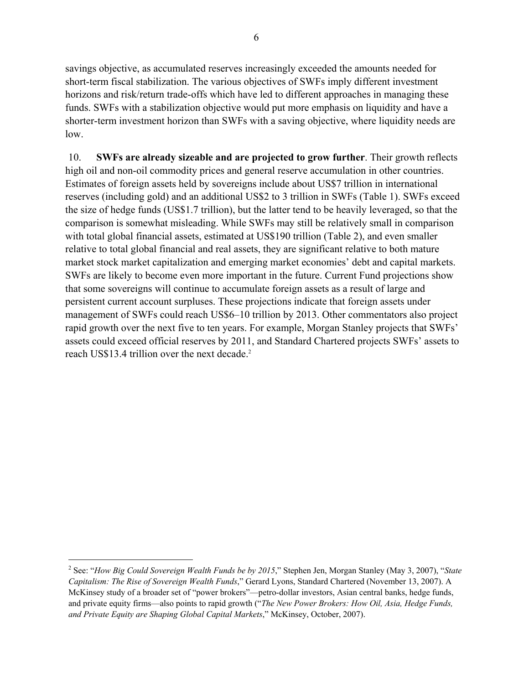savings objective, as accumulated reserves increasingly exceeded the amounts needed for short-term fiscal stabilization. The various objectives of SWFs imply different investment horizons and risk/return trade-offs which have led to different approaches in managing these funds. SWFs with a stabilization objective would put more emphasis on liquidity and have a shorter-term investment horizon than SWFs with a saving objective, where liquidity needs are low.

10. **SWFs are already sizeable and are projected to grow further**. Their growth reflects high oil and non-oil commodity prices and general reserve accumulation in other countries. Estimates of foreign assets held by sovereigns include about US\$7 trillion in international reserves (including gold) and an additional US\$2 to 3 trillion in SWFs (Table 1). SWFs exceed the size of hedge funds (US\$1.7 trillion), but the latter tend to be heavily leveraged, so that the comparison is somewhat misleading. While SWFs may still be relatively small in comparison with total global financial assets, estimated at US\$190 trillion (Table 2), and even smaller relative to total global financial and real assets, they are significant relative to both mature market stock market capitalization and emerging market economies' debt and capital markets. SWFs are likely to become even more important in the future. Current Fund projections show that some sovereigns will continue to accumulate foreign assets as a result of large and persistent current account surpluses. These projections indicate that foreign assets under management of SWFs could reach US\$6–10 trillion by 2013. Other commentators also project rapid growth over the next five to ten years. For example, Morgan Stanley projects that SWFs' assets could exceed official reserves by 2011, and Standard Chartered projects SWFs' assets to reach US\$13.4 trillion over the next decade.<sup>2</sup>

<sup>2</sup> See: "*How Big Could Sovereign Wealth Funds be by 2015*," Stephen Jen, Morgan Stanley (May 3, 2007), "*State Capitalism: The Rise of Sovereign Wealth Funds*," Gerard Lyons, Standard Chartered (November 13, 2007). A McKinsey study of a broader set of "power brokers"—petro-dollar investors, Asian central banks, hedge funds, and private equity firms—also points to rapid growth ("*The New Power Brokers: How Oil, Asia, Hedge Funds, and Private Equity are Shaping Global Capital Markets*," McKinsey, October, 2007).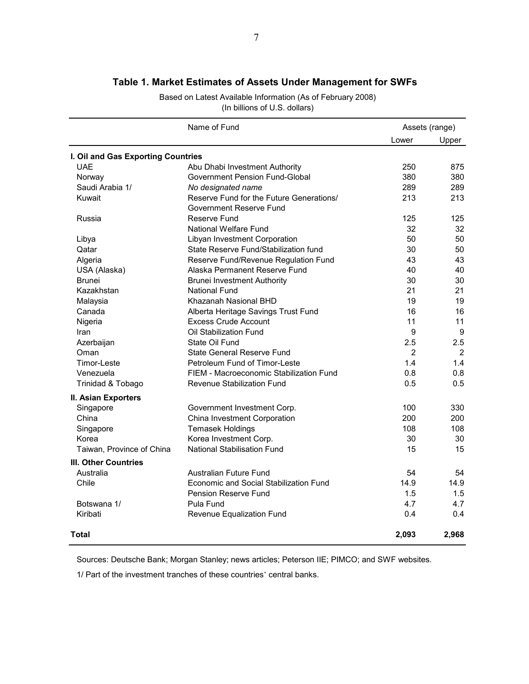|                                    | Name of Fund                             |                | Assets (range) |
|------------------------------------|------------------------------------------|----------------|----------------|
|                                    |                                          | Lower          | Upper          |
| I. Oil and Gas Exporting Countries |                                          |                |                |
| <b>UAE</b>                         | Abu Dhabi Investment Authority           | 250            | 875            |
| Norway                             | Government Pension Fund-Global           | 380            | 380            |
| Saudi Arabia 1/                    | No designated name                       | 289            | 289            |
| Kuwait                             | Reserve Fund for the Future Generations/ | 213            | 213            |
|                                    | Government Reserve Fund                  |                |                |
| Russia                             | Reserve Fund                             | 125            | 125            |
|                                    | National Welfare Fund                    | 32             | 32             |
| Libya                              | Libyan Investment Corporation            | 50             | 50             |
| Qatar                              | State Reserve Fund/Stabilization fund    | 30             | 50             |
| Algeria                            | Reserve Fund/Revenue Regulation Fund     | 43             | 43             |
| USA (Alaska)                       | Alaska Permanent Reserve Fund            | 40             | 40             |
| <b>Brunei</b>                      | <b>Brunei Investment Authority</b>       | 30             | 30             |
| Kazakhstan                         | National Fund                            | 21             | 21             |
| Malaysia                           | Khazanah Nasional BHD                    | 19             | 19             |
| Canada                             | Alberta Heritage Savings Trust Fund      | 16             | 16             |
| Nigeria                            | <b>Excess Crude Account</b>              | 11             | 11             |
| Iran                               | Oil Stabilization Fund                   | 9              | 9              |
| Azerbaijan                         | State Oil Fund                           | 2.5            | 2.5            |
| Oman                               | State General Reserve Fund               | $\overline{2}$ | $\overline{2}$ |
| Timor-Leste                        | Petroleum Fund of Timor-Leste            | 1.4            | 1.4            |
| Venezuela                          | FIEM - Macroeconomic Stabilization Fund  | 0.8            | 0.8            |
| Trinidad & Tobago                  | Revenue Stabilization Fund               | 0.5            | 0.5            |
| II. Asian Exporters                |                                          |                |                |
| Singapore                          | Government Investment Corp.              | 100            | 330            |
| China                              | China Investment Corporation             | 200            | 200            |
| Singapore                          | <b>Temasek Holdings</b>                  | 108            | 108            |
| Korea                              | Korea Investment Corp.                   | 30             | 30             |
| Taiwan, Province of China          | National Stabilisation Fund              | 15             | 15             |
| <b>III. Other Countries</b>        |                                          |                |                |
| Australia                          | Australian Future Fund                   | 54             | 54             |
| Chile                              | Economic and Social Stabilization Fund   | 14.9           | 14.9           |
|                                    | Pension Reserve Fund                     | 1.5            | 1.5            |
| Botswana 1/                        | Pula Fund                                | 4.7            | 4.7            |
| Kiribati                           | Revenue Equalization Fund                | 0.4            | 0.4            |
| Total                              |                                          | 2,093          | 2,968          |

# **Table 1. Market Estimates of Assets Under Management for SWFs**

Based on Latest Available Information (As of February 2008) (In billions of U.S. dollars)

Sources: Deutsche Bank; Morgan Stanley; news articles; Peterson IIE; PIMCO; and SWF websites.

1/ Part of the investment tranches of these countries' central banks.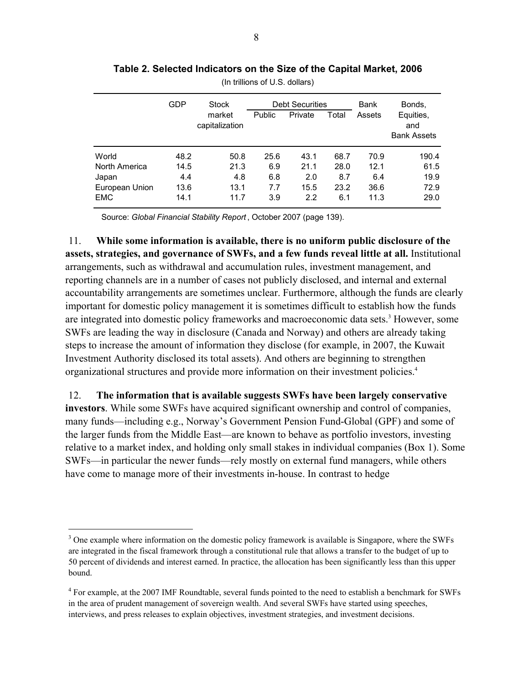|                | <b>GDP</b> | Stock<br>market<br>capitalization | <b>Public</b> | <b>Debt Securities</b><br>Private | Total | Bank<br>Assets | Bonds,<br>Equities,<br>and<br><b>Bank Assets</b> |
|----------------|------------|-----------------------------------|---------------|-----------------------------------|-------|----------------|--------------------------------------------------|
| World          | 48.2       | 50.8                              | 25.6          | 43.1                              | 68.7  | 70.9           | 190.4                                            |
| North America  | 14.5       | 21.3                              | 6.9           | 21.1                              | 28.0  | 12.1           | 61.5                                             |
| Japan          | 4.4        | 4.8                               | 6.8           | 2.0                               | 8.7   | 6.4            | 19.9                                             |
| European Union | 13.6       | 13.1                              | 7.7           | 15.5                              | 23.2  | 36.6           | 72.9                                             |
| <b>EMC</b>     | 14.1       | 11.7                              | 3.9           | 2.2                               | 6.1   | 11.3           | 29.0                                             |

**Table 2. Selected Indicators on the Size of the Capital Market, 2006**

(In trillions of U.S. dollars)

Source: *Global Financial Stability Report* , October 2007 (page 139).

11. **While some information is available, there is no uniform public disclosure of the assets, strategies, and governance of SWFs, and a few funds reveal little at all.** Institutional arrangements, such as withdrawal and accumulation rules, investment management, and reporting channels are in a number of cases not publicly disclosed, and internal and external accountability arrangements are sometimes unclear. Furthermore, although the funds are clearly important for domestic policy management it is sometimes difficult to establish how the funds are integrated into domestic policy frameworks and macroeconomic data sets.<sup>3</sup> However, some SWFs are leading the way in disclosure (Canada and Norway) and others are already taking steps to increase the amount of information they disclose (for example, in 2007, the Kuwait Investment Authority disclosed its total assets). And others are beginning to strengthen organizational structures and provide more information on their investment policies.4

12. **The information that is available suggests SWFs have been largely conservative investors**. While some SWFs have acquired significant ownership and control of companies, many funds—including e.g., Norway's Government Pension Fund-Global (GPF) and some of the larger funds from the Middle East—are known to behave as portfolio investors, investing relative to a market index, and holding only small stakes in individual companies (Box 1). Some SWFs—in particular the newer funds—rely mostly on external fund managers, while others have come to manage more of their investments in-house. In contrast to hedge

<sup>&</sup>lt;sup>3</sup> One example where information on the domestic policy framework is available is Singapore, where the SWFs are integrated in the fiscal framework through a constitutional rule that allows a transfer to the budget of up to 50 percent of dividends and interest earned. In practice, the allocation has been significantly less than this upper bound.

<sup>&</sup>lt;sup>4</sup> For example, at the 2007 IMF Roundtable, several funds pointed to the need to establish a benchmark for SWFs in the area of prudent management of sovereign wealth. And several SWFs have started using speeches, interviews, and press releases to explain objectives, investment strategies, and investment decisions.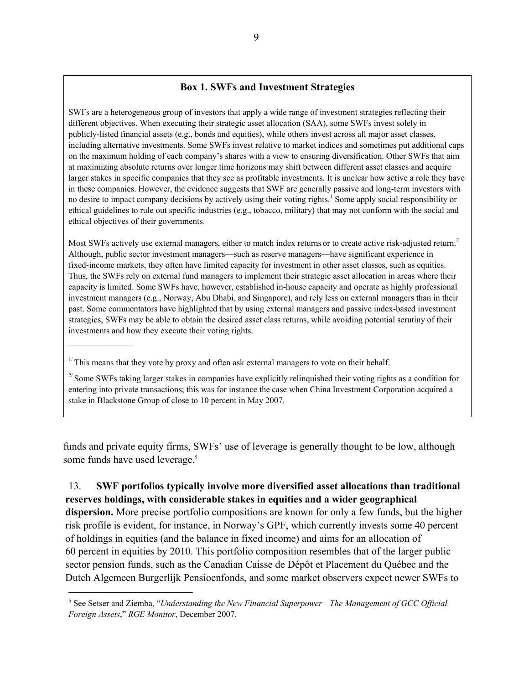#### **Box 1. SWFs and Investment Strategies**

SWFs are a heterogeneous group of investors that apply a wide range of investment strategies reflecting their different objectives. When executing their strategic asset allocation (SAA), some SWFs invest solely in publicly-listed financial assets (e.g., bonds and equities), while others invest across all major asset classes, including alternative investments. Some SWFs invest relative to market indices and sometimes put additional caps on the maximum holding of each company's shares with a view to ensuring diversification. Other SWFs that aim at maximizing absolute returns over longer time horizons may shift between different asset classes and acquire larger stakes in specific companies that they see as profitable investments. It is unclear how active a role they have in these companies. However, the evidence suggests that SWF are generally passive and long-term investors with no desire to impact company decisions by actively using their voting rights.<sup>1</sup> Some apply social responsibility or ethical guidelines to rule out specific industries (e.g., tobacco, military) that may not conform with the social and ethical objectives of their governments.

Most SWFs actively use external managers, either to match index returns or to create active risk-adjusted return.<sup>2</sup> Although, public sector investment managers—such as reserve managers—have significant experience in fixed-income markets, they often have limited capacity for investment in other asset classes, such as equities. Thus, the SWFs rely on external fund managers to implement their strategic asset allocation in areas where their capacity is limited. Some SWFs have, however, established in-house capacity and operate as highly professional investment managers (e.g., Norway, Abu Dhabi, and Singapore), and rely less on external managers than in their past. Some commentators have highlighted that by using external managers and passive index-based investment strategies, SWFs may be able to obtain the desired asset class returns, while avoiding potential scrutiny of their investments and how they execute their voting rights.

 $^{2}$  Some SWFs taking larger stakes in companies have explicitly relinquished their voting rights as a condition for entering into private transactions; this was for instance the case when China Investment Corporation acquired a stake in Blackstone Group of close to 10 percent in May 2007.

funds and private equity firms, SWFs' use of leverage is generally thought to be low, although some funds have used leverage.<sup>5</sup>

# 13. **SWF portfolios typically involve more diversified asset allocations than traditional reserves holdings, with considerable stakes in equities and a wider geographical**

**dispersion.** More precise portfolio compositions are known for only a few funds, but the higher risk profile is evident, for instance, in Norway's GPF, which currently invests some 40 percent of holdings in equities (and the balance in fixed income) and aims for an allocation of 60 percent in equities by 2010. This portfolio composition resembles that of the larger public sector pension funds, such as the Canadian Caisse de Dépôt et Placement du Québec and the Dutch Algemeen Burgerlijk Pensioenfonds, and some market observers expect newer SWFs to

 $1/T$  This means that they vote by proxy and often ask external managers to vote on their behalf.

<sup>&</sup>lt;sup>5</sup> See Setser and Ziemba, "*Understanding the New Financial Superpower—The Management of GCC Official Foreign Assets*," *RGE Monitor*, December 2007.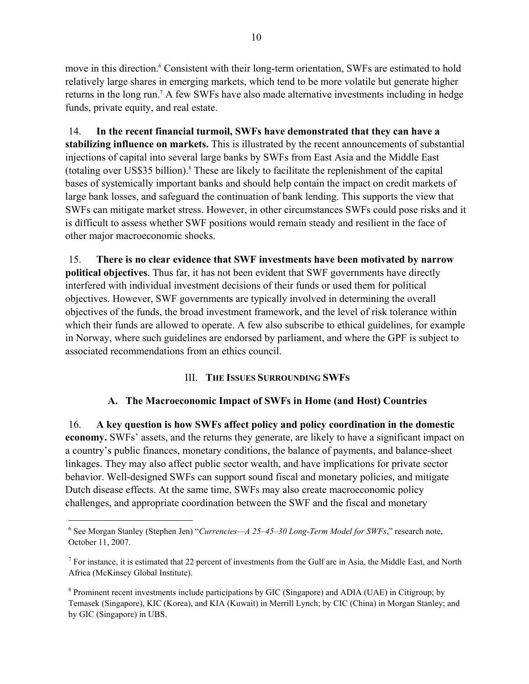move in this direction.<sup>6</sup> Consistent with their long-term orientation, SWFs are estimated to hold relatively large shares in emerging markets, which tend to be more volatile but generate higher returns in the long run.<sup>7</sup> A few SWFs have also made alternative investments including in hedge funds, private equity, and real estate.

14. **In the recent financial turmoil, SWFs have demonstrated that they can have a stabilizing influence on markets.** This is illustrated by the recent announcements of substantial injections of capital into several large banks by SWFs from East Asia and the Middle East (totaling over US\$35 billion).<sup>8</sup> These are likely to facilitate the replenishment of the capital bases of systemically important banks and should help contain the impact on credit markets of large bank losses, and safeguard the continuation of bank lending. This supports the view that SWFs can mitigate market stress. However, in other circumstances SWFs could pose risks and it is difficult to assess whether SWF positions would remain steady and resilient in the face of other major macroeconomic shocks.

15. **There is no clear evidence that SWF investments have been motivated by narrow political objectives**. Thus far, it has not been evident that SWF governments have directly interfered with individual investment decisions of their funds or used them for political objectives. However, SWF governments are typically involved in determining the overall objectives of the funds, the broad investment framework, and the level of risk tolerance within which their funds are allowed to operate. A few also subscribe to ethical guidelines, for example in Norway, where such guidelines are endorsed by parliament, and where the GPF is subject to associated recommendations from an ethics council.

### III. **THE ISSUES SURROUNDING SWFS**

#### **A. The Macroeconomic Impact of SWFs in Home (and Host) Countries**

16. **A key question is how SWFs affect policy and policy coordination in the domestic economy.** SWFs' assets, and the returns they generate, are likely to have a significant impact on a country's public finances, monetary conditions, the balance of payments, and balance-sheet linkages. They may also affect public sector wealth, and have implications for private sector behavior. Well-designed SWFs can support sound fiscal and monetary policies, and mitigate Dutch disease effects. At the same time, SWFs may also create macroeconomic policy challenges, and appropriate coordination between the SWF and the fiscal and monetary

<sup>6</sup> See Morgan Stanley (Stephen Jen) "*Currencies—A 25–45–30 Long-Term Model for SWFs*," research note, October 11, 2007.

<sup>&</sup>lt;sup>7</sup> For instance, it is estimated that 22 percent of investments from the Gulf are in Asia, the Middle East, and North Africa (McKinsey Global Institute).

<sup>&</sup>lt;sup>8</sup> Prominent recent investments include participations by GIC (Singapore) and ADIA (UAE) in Citigroup; by Temasek (Singapore), KIC (Korea), and KIA (Kuwait) in Merrill Lynch; by CIC (China) in Morgan Stanley; and by GIC (Singapore) in UBS.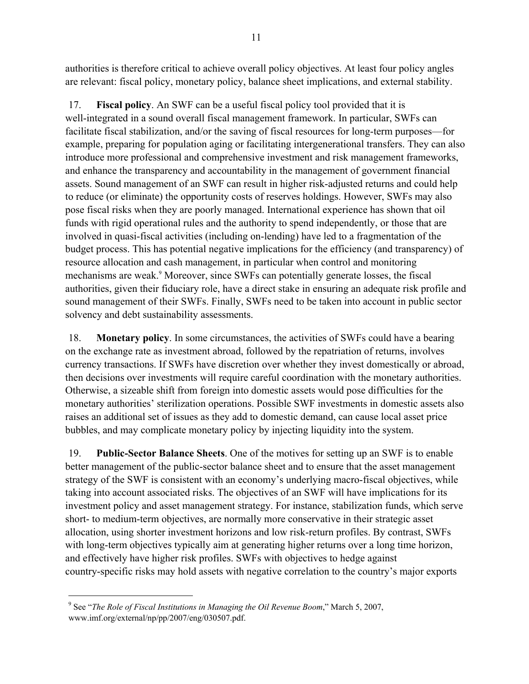authorities is therefore critical to achieve overall policy objectives. At least four policy angles are relevant: fiscal policy, monetary policy, balance sheet implications, and external stability.

17. **Fiscal policy**. An SWF can be a useful fiscal policy tool provided that it is well-integrated in a sound overall fiscal management framework. In particular, SWFs can facilitate fiscal stabilization, and/or the saving of fiscal resources for long-term purposes—for example, preparing for population aging or facilitating intergenerational transfers. They can also introduce more professional and comprehensive investment and risk management frameworks, and enhance the transparency and accountability in the management of government financial assets. Sound management of an SWF can result in higher risk-adjusted returns and could help to reduce (or eliminate) the opportunity costs of reserves holdings. However, SWFs may also pose fiscal risks when they are poorly managed. International experience has shown that oil funds with rigid operational rules and the authority to spend independently, or those that are involved in quasi-fiscal activities (including on-lending) have led to a fragmentation of the budget process. This has potential negative implications for the efficiency (and transparency) of resource allocation and cash management, in particular when control and monitoring mechanisms are weak.<sup>9</sup> Moreover, since SWFs can potentially generate losses, the fiscal authorities, given their fiduciary role, have a direct stake in ensuring an adequate risk profile and sound management of their SWFs. Finally, SWFs need to be taken into account in public sector solvency and debt sustainability assessments.

18. **Monetary policy**. In some circumstances, the activities of SWFs could have a bearing on the exchange rate as investment abroad, followed by the repatriation of returns, involves currency transactions. If SWFs have discretion over whether they invest domestically or abroad, then decisions over investments will require careful coordination with the monetary authorities. Otherwise, a sizeable shift from foreign into domestic assets would pose difficulties for the monetary authorities' sterilization operations. Possible SWF investments in domestic assets also raises an additional set of issues as they add to domestic demand, can cause local asset price bubbles, and may complicate monetary policy by injecting liquidity into the system.

19. **Public-Sector Balance Sheets**. One of the motives for setting up an SWF is to enable better management of the public-sector balance sheet and to ensure that the asset management strategy of the SWF is consistent with an economy's underlying macro-fiscal objectives, while taking into account associated risks. The objectives of an SWF will have implications for its investment policy and asset management strategy. For instance, stabilization funds, which serve short- to medium-term objectives, are normally more conservative in their strategic asset allocation, using shorter investment horizons and low risk-return profiles. By contrast, SWFs with long-term objectives typically aim at generating higher returns over a long time horizon, and effectively have higher risk profiles. SWFs with objectives to hedge against country-specific risks may hold assets with negative correlation to the country's major exports

<sup>9</sup> See "*The Role of Fiscal Institutions in Managing the Oil Revenue Boom*," March 5, 2007, www.imf.org/external/np/pp/2007/eng/030507.pdf.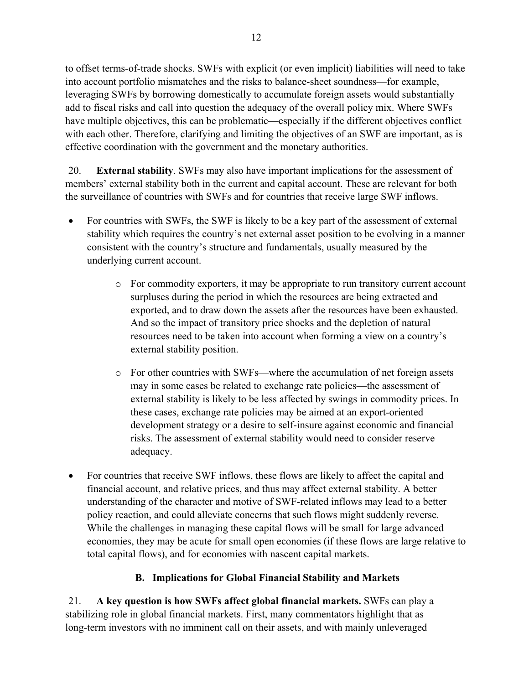to offset terms-of-trade shocks. SWFs with explicit (or even implicit) liabilities will need to take into account portfolio mismatches and the risks to balance-sheet soundness—for example, leveraging SWFs by borrowing domestically to accumulate foreign assets would substantially add to fiscal risks and call into question the adequacy of the overall policy mix. Where SWFs have multiple objectives, this can be problematic—especially if the different objectives conflict with each other. Therefore, clarifying and limiting the objectives of an SWF are important, as is effective coordination with the government and the monetary authorities.

20. **External stability**. SWFs may also have important implications for the assessment of members' external stability both in the current and capital account. These are relevant for both the surveillance of countries with SWFs and for countries that receive large SWF inflows.

- For countries with SWFs, the SWF is likely to be a key part of the assessment of external stability which requires the country's net external asset position to be evolving in a manner consistent with the country's structure and fundamentals, usually measured by the underlying current account.
	- o For commodity exporters, it may be appropriate to run transitory current account surpluses during the period in which the resources are being extracted and exported, and to draw down the assets after the resources have been exhausted. And so the impact of transitory price shocks and the depletion of natural resources need to be taken into account when forming a view on a country's external stability position.
	- o For other countries with SWFs—where the accumulation of net foreign assets may in some cases be related to exchange rate policies—the assessment of external stability is likely to be less affected by swings in commodity prices. In these cases, exchange rate policies may be aimed at an export-oriented development strategy or a desire to self-insure against economic and financial risks. The assessment of external stability would need to consider reserve adequacy.
- For countries that receive SWF inflows, these flows are likely to affect the capital and financial account, and relative prices, and thus may affect external stability. A better understanding of the character and motive of SWF-related inflows may lead to a better policy reaction, and could alleviate concerns that such flows might suddenly reverse. While the challenges in managing these capital flows will be small for large advanced economies, they may be acute for small open economies (if these flows are large relative to total capital flows), and for economies with nascent capital markets.

# **B. Implications for Global Financial Stability and Markets**

21. **A key question is how SWFs affect global financial markets.** SWFs can play a stabilizing role in global financial markets. First, many commentators highlight that as long-term investors with no imminent call on their assets, and with mainly unleveraged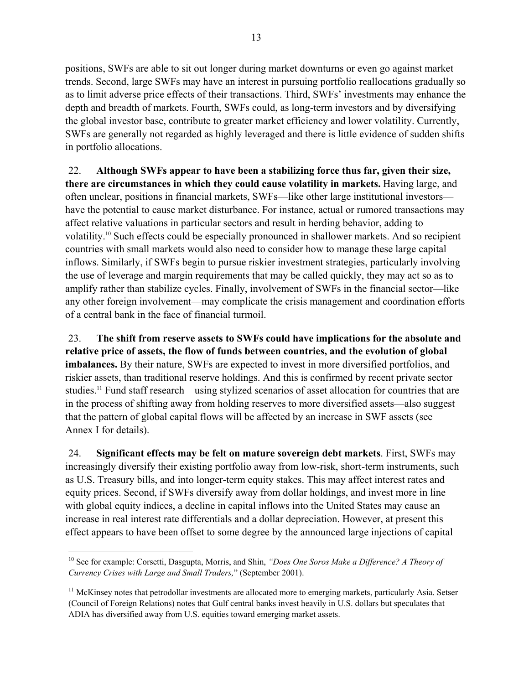positions, SWFs are able to sit out longer during market downturns or even go against market trends. Second, large SWFs may have an interest in pursuing portfolio reallocations gradually so as to limit adverse price effects of their transactions. Third, SWFs' investments may enhance the depth and breadth of markets. Fourth, SWFs could, as long-term investors and by diversifying the global investor base, contribute to greater market efficiency and lower volatility. Currently, SWFs are generally not regarded as highly leveraged and there is little evidence of sudden shifts in portfolio allocations.

22. **Although SWFs appear to have been a stabilizing force thus far, given their size, there are circumstances in which they could cause volatility in markets.** Having large, and often unclear, positions in financial markets, SWFs—like other large institutional investors have the potential to cause market disturbance. For instance, actual or rumored transactions may affect relative valuations in particular sectors and result in herding behavior, adding to volatility.10 Such effects could be especially pronounced in shallower markets. And so recipient countries with small markets would also need to consider how to manage these large capital inflows. Similarly, if SWFs begin to pursue riskier investment strategies, particularly involving the use of leverage and margin requirements that may be called quickly, they may act so as to amplify rather than stabilize cycles. Finally, involvement of SWFs in the financial sector—like any other foreign involvement—may complicate the crisis management and coordination efforts of a central bank in the face of financial turmoil.

23. **The shift from reserve assets to SWFs could have implications for the absolute and relative price of assets, the flow of funds between countries, and the evolution of global imbalances.** By their nature, SWFs are expected to invest in more diversified portfolios, and riskier assets, than traditional reserve holdings. And this is confirmed by recent private sector studies.11 Fund staff research—using stylized scenarios of asset allocation for countries that are in the process of shifting away from holding reserves to more diversified assets—also suggest that the pattern of global capital flows will be affected by an increase in SWF assets (see Annex I for details).

24. **Significant effects may be felt on mature sovereign debt markets**. First, SWFs may increasingly diversify their existing portfolio away from low-risk, short-term instruments, such as U.S. Treasury bills, and into longer-term equity stakes. This may affect interest rates and equity prices. Second, if SWFs diversify away from dollar holdings, and invest more in line with global equity indices, a decline in capital inflows into the United States may cause an increase in real interest rate differentials and a dollar depreciation. However, at present this effect appears to have been offset to some degree by the announced large injections of capital

<sup>10</sup> See for example: Corsetti, Dasgupta, Morris, and Shin, *"Does One Soros Make a Difference? A Theory of Currency Crises with Large and Small Traders,*" (September 2001).

 $11$  McKinsey notes that petrodollar investments are allocated more to emerging markets, particularly Asia. Setser (Council of Foreign Relations) notes that Gulf central banks invest heavily in U.S. dollars but speculates that ADIA has diversified away from U.S. equities toward emerging market assets.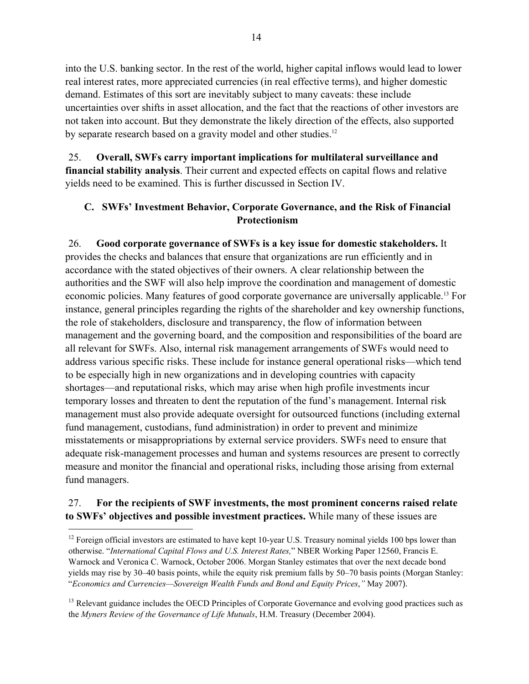into the U.S. banking sector. In the rest of the world, higher capital inflows would lead to lower real interest rates, more appreciated currencies (in real effective terms), and higher domestic demand. Estimates of this sort are inevitably subject to many caveats: these include uncertainties over shifts in asset allocation, and the fact that the reactions of other investors are not taken into account. But they demonstrate the likely direction of the effects, also supported by separate research based on a gravity model and other studies.<sup>12</sup>

25. **Overall, SWFs carry important implications for multilateral surveillance and financial stability analysis**. Their current and expected effects on capital flows and relative yields need to be examined. This is further discussed in Section IV.

### **C. SWFs' Investment Behavior, Corporate Governance, and the Risk of Financial Protectionism**

26. **Good corporate governance of SWFs is a key issue for domestic stakeholders.** It provides the checks and balances that ensure that organizations are run efficiently and in accordance with the stated objectives of their owners. A clear relationship between the authorities and the SWF will also help improve the coordination and management of domestic economic policies. Many features of good corporate governance are universally applicable.<sup>13</sup> For instance, general principles regarding the rights of the shareholder and key ownership functions, the role of stakeholders, disclosure and transparency, the flow of information between management and the governing board, and the composition and responsibilities of the board are all relevant for SWFs. Also, internal risk management arrangements of SWFs would need to address various specific risks. These include for instance general operational risks—which tend to be especially high in new organizations and in developing countries with capacity shortages—and reputational risks, which may arise when high profile investments incur temporary losses and threaten to dent the reputation of the fund's management. Internal risk management must also provide adequate oversight for outsourced functions (including external fund management, custodians, fund administration) in order to prevent and minimize misstatements or misappropriations by external service providers. SWFs need to ensure that adequate risk-management processes and human and systems resources are present to correctly measure and monitor the financial and operational risks, including those arising from external fund managers.

### 27. **For the recipients of SWF investments, the most prominent concerns raised relate to SWFs' objectives and possible investment practices.** While many of these issues are

<sup>&</sup>lt;sup>12</sup> Foreign official investors are estimated to have kept 10-year U.S. Treasury nominal yields 100 bps lower than otherwise. "*International Capital Flows and U.S. Interest Rates,*" NBER Working Paper 12560, Francis E. Warnock and Veronica C. Warnock, October 2006. Morgan Stanley estimates that over the next decade bond yields may rise by 30–40 basis points, while the equity risk premium falls by 50–70 basis points (Morgan Stanley: "*Economics and Currencies—Sovereign Wealth Funds and Bond and Equity Prices*,*"* May 2007).

<sup>&</sup>lt;sup>13</sup> Relevant guidance includes the OECD Principles of Corporate Governance and evolving good practices such as the *Myners Review of the Governance of Life Mutuals*, H.M. Treasury (December 2004).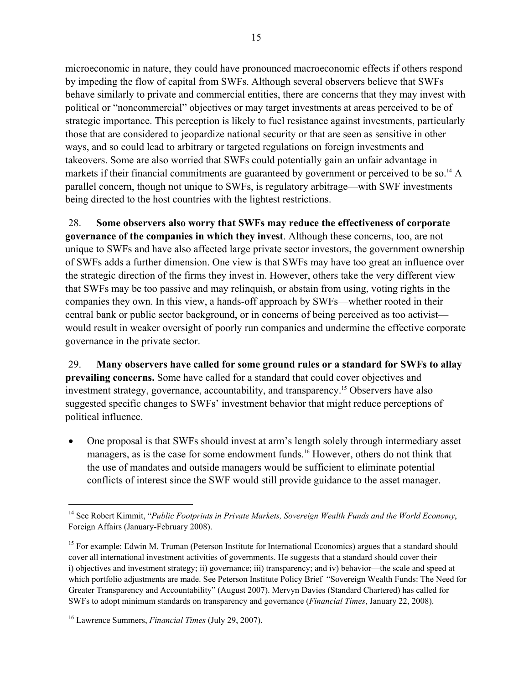microeconomic in nature, they could have pronounced macroeconomic effects if others respond by impeding the flow of capital from SWFs. Although several observers believe that SWFs behave similarly to private and commercial entities, there are concerns that they may invest with political or "noncommercial" objectives or may target investments at areas perceived to be of strategic importance. This perception is likely to fuel resistance against investments, particularly those that are considered to jeopardize national security or that are seen as sensitive in other ways, and so could lead to arbitrary or targeted regulations on foreign investments and takeovers. Some are also worried that SWFs could potentially gain an unfair advantage in markets if their financial commitments are guaranteed by government or perceived to be so.<sup>14</sup> A parallel concern, though not unique to SWFs, is regulatory arbitrage—with SWF investments being directed to the host countries with the lightest restrictions.

28. **Some observers also worry that SWFs may reduce the effectiveness of corporate governance of the companies in which they invest**. Although these concerns, too, are not unique to SWFs and have also affected large private sector investors, the government ownership of SWFs adds a further dimension. One view is that SWFs may have too great an influence over the strategic direction of the firms they invest in. However, others take the very different view that SWFs may be too passive and may relinquish, or abstain from using, voting rights in the companies they own. In this view, a hands-off approach by SWFs—whether rooted in their central bank or public sector background, or in concerns of being perceived as too activist would result in weaker oversight of poorly run companies and undermine the effective corporate governance in the private sector.

29. **Many observers have called for some ground rules or a standard for SWFs to allay prevailing concerns.** Some have called for a standard that could cover objectives and investment strategy, governance, accountability, and transparency.15 Observers have also suggested specific changes to SWFs' investment behavior that might reduce perceptions of political influence.

• One proposal is that SWFs should invest at arm's length solely through intermediary asset managers, as is the case for some endowment funds.<sup>16</sup> However, others do not think that the use of mandates and outside managers would be sufficient to eliminate potential conflicts of interest since the SWF would still provide guidance to the asset manager.

<sup>14</sup> See Robert Kimmit, "*Public Footprints in Private Markets, Sovereign Wealth Funds and the World Economy*, Foreign Affairs (January-February 2008).

<sup>&</sup>lt;sup>15</sup> For example: Edwin M. Truman (Peterson Institute for International Economics) argues that a standard should cover all international investment activities of governments. He suggests that a standard should cover their i) objectives and investment strategy; ii) governance; iii) transparency; and iv) behavior—the scale and speed at which portfolio adjustments are made. See Peterson Institute Policy Brief "Sovereign Wealth Funds: The Need for Greater Transparency and Accountability" (August 2007). Mervyn Davies (Standard Chartered) has called for SWFs to adopt minimum standards on transparency and governance (*Financial Times*, January 22, 2008).

<sup>16</sup> Lawrence Summers, *Financial Times* (July 29, 2007).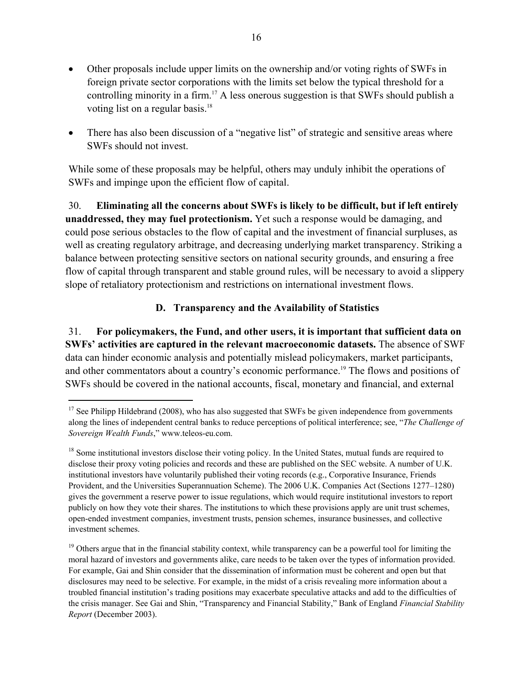- Other proposals include upper limits on the ownership and/or voting rights of SWFs in foreign private sector corporations with the limits set below the typical threshold for a controlling minority in a firm.<sup>17</sup> A less onerous suggestion is that SWFs should publish a voting list on a regular basis.<sup>18</sup>
- There has also been discussion of a "negative list" of strategic and sensitive areas where SWFs should not invest.

While some of these proposals may be helpful, others may unduly inhibit the operations of SWFs and impinge upon the efficient flow of capital.

30. **Eliminating all the concerns about SWFs is likely to be difficult, but if left entirely unaddressed, they may fuel protectionism.** Yet such a response would be damaging, and could pose serious obstacles to the flow of capital and the investment of financial surpluses, as well as creating regulatory arbitrage, and decreasing underlying market transparency. Striking a balance between protecting sensitive sectors on national security grounds, and ensuring a free flow of capital through transparent and stable ground rules, will be necessary to avoid a slippery slope of retaliatory protectionism and restrictions on international investment flows.

### **D. Transparency and the Availability of Statistics**

31. **For policymakers, the Fund, and other users, it is important that sufficient data on SWFs' activities are captured in the relevant macroeconomic datasets.** The absence of SWF data can hinder economic analysis and potentially mislead policymakers, market participants, and other commentators about a country's economic performance.19 The flows and positions of SWFs should be covered in the national accounts, fiscal, monetary and financial, and external

 $17$  See Philipp Hildebrand (2008), who has also suggested that SWFs be given independence from governments along the lines of independent central banks to reduce perceptions of political interference; see, "*The Challenge of Sovereign Wealth Funds*," www.teleos-eu.com.

<sup>&</sup>lt;sup>18</sup> Some institutional investors disclose their voting policy. In the United States, mutual funds are required to disclose their proxy voting policies and records and these are published on the SEC website. A number of U.K. institutional investors have voluntarily published their voting records (e.g., Corporative Insurance, Friends Provident, and the Universities Superannuation Scheme). The 2006 U.K. Companies Act (Sections 1277–1280) gives the government a reserve power to issue regulations, which would require institutional investors to report publicly on how they vote their shares. The institutions to which these provisions apply are unit trust schemes, open-ended investment companies, investment trusts, pension schemes, insurance businesses, and collective investment schemes.

<sup>&</sup>lt;sup>19</sup> Others argue that in the financial stability context, while transparency can be a powerful tool for limiting the moral hazard of investors and governments alike, care needs to be taken over the types of information provided. For example, Gai and Shin consider that the dissemination of information must be coherent and open but that disclosures may need to be selective. For example, in the midst of a crisis revealing more information about a troubled financial institution's trading positions may exacerbate speculative attacks and add to the difficulties of the crisis manager. See Gai and Shin, "Transparency and Financial Stability," Bank of England *Financial Stability Report* (December 2003).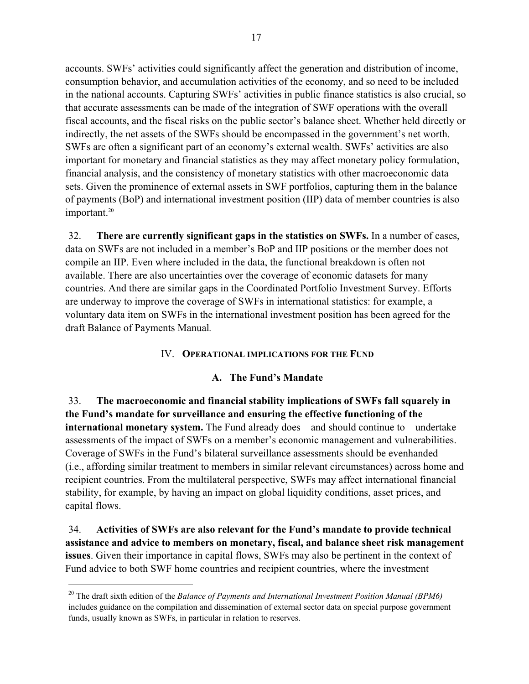accounts. SWFs' activities could significantly affect the generation and distribution of income, consumption behavior, and accumulation activities of the economy, and so need to be included in the national accounts. Capturing SWFs' activities in public finance statistics is also crucial, so that accurate assessments can be made of the integration of SWF operations with the overall fiscal accounts, and the fiscal risks on the public sector's balance sheet. Whether held directly or indirectly, the net assets of the SWFs should be encompassed in the government's net worth. SWFs are often a significant part of an economy's external wealth. SWFs' activities are also important for monetary and financial statistics as they may affect monetary policy formulation, financial analysis, and the consistency of monetary statistics with other macroeconomic data sets. Given the prominence of external assets in SWF portfolios, capturing them in the balance of payments (BoP) and international investment position (IIP) data of member countries is also important.<sup>20</sup>

32. **There are currently significant gaps in the statistics on SWFs.** In a number of cases, data on SWFs are not included in a member's BoP and IIP positions or the member does not compile an IIP. Even where included in the data, the functional breakdown is often not available. There are also uncertainties over the coverage of economic datasets for many countries. And there are similar gaps in the Coordinated Portfolio Investment Survey. Efforts are underway to improve the coverage of SWFs in international statistics: for example, a voluntary data item on SWFs in the international investment position has been agreed for the draft Balance of Payments Manual*.*

#### IV. **OPERATIONAL IMPLICATIONS FOR THE FUND**

#### **A. The Fund's Mandate**

33. **The macroeconomic and financial stability implications of SWFs fall squarely in the Fund's mandate for surveillance and ensuring the effective functioning of the international monetary system.** The Fund already does—and should continue to—undertake assessments of the impact of SWFs on a member's economic management and vulnerabilities. Coverage of SWFs in the Fund's bilateral surveillance assessments should be evenhanded (i.e., affording similar treatment to members in similar relevant circumstances) across home and recipient countries. From the multilateral perspective, SWFs may affect international financial stability, for example, by having an impact on global liquidity conditions, asset prices, and capital flows.

34. **Activities of SWFs are also relevant for the Fund's mandate to provide technical assistance and advice to members on monetary, fiscal, and balance sheet risk management issues**. Given their importance in capital flows, SWFs may also be pertinent in the context of Fund advice to both SWF home countries and recipient countries, where the investment

<sup>20</sup> The draft sixth edition of the *Balance of Payments and International Investment Position Manual (BPM6)* includes guidance on the compilation and dissemination of external sector data on special purpose government funds, usually known as SWFs, in particular in relation to reserves.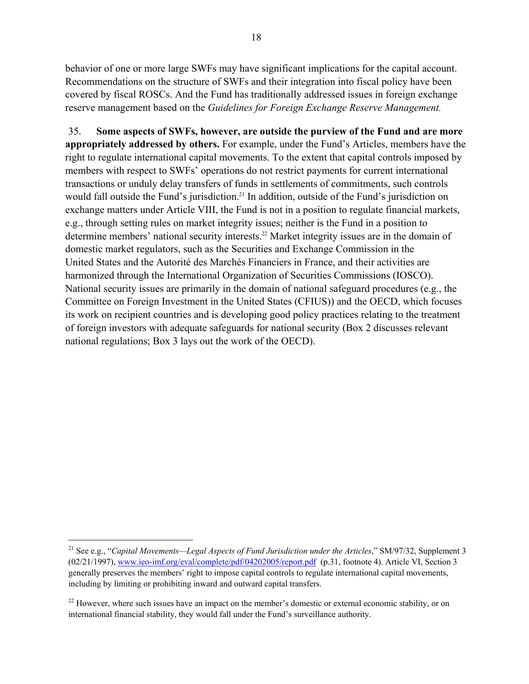behavior of one or more large SWFs may have significant implications for the capital account. Recommendations on the structure of SWFs and their integration into fiscal policy have been covered by fiscal ROSCs. And the Fund has traditionally addressed issues in foreign exchange reserve management based on the *Guidelines for Foreign Exchange Reserve Management.*

35. **Some aspects of SWFs, however, are outside the purview of the Fund and are more appropriately addressed by others.** For example, under the Fund's Articles, members have the right to regulate international capital movements. To the extent that capital controls imposed by members with respect to SWFs' operations do not restrict payments for current international transactions or unduly delay transfers of funds in settlements of commitments, such controls would fall outside the Fund's jurisdiction.<sup>21</sup> In addition, outside of the Fund's jurisdiction on exchange matters under Article VIII, the Fund is not in a position to regulate financial markets, e.g., through setting rules on market integrity issues; neither is the Fund in a position to determine members' national security interests.<sup>22</sup> Market integrity issues are in the domain of domestic market regulators, such as the Securities and Exchange Commission in the United States and the Autorité des Marchés Financiers in France, and their activities are harmonized through the International Organization of Securities Commissions (IOSCO). National security issues are primarily in the domain of national safeguard procedures (e.g., the Committee on Foreign Investment in the United States (CFIUS)) and the OECD, which focuses its work on recipient countries and is developing good policy practices relating to the treatment of foreign investors with adequate safeguards for national security (Box 2 discusses relevant national regulations; Box 3 lays out the work of the OECD).

<sup>21</sup> See e.g., "*Capital Movements—Legal Aspects of Fund Jurisdiction under the Articles*," SM/97/32, Supplement 3 (02/21/1997), www.ieo-imf.org/eval/complete/pdf/04202005/report.pdf (p.31, footnote 4). Article VI, Section 3 generally preserves the members' right to impose capital controls to regulate international capital movements, including by limiting or prohibiting inward and outward capital transfers.

<sup>&</sup>lt;sup>22</sup> However, where such issues have an impact on the member's domestic or external economic stability, or on international financial stability, they would fall under the Fund's surveillance authority.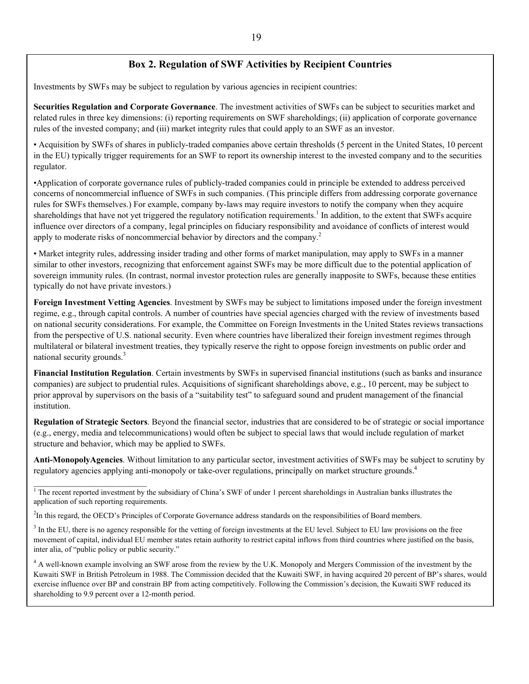#### **Box 2. Regulation of SWF Activities by Recipient Countries**

Investments by SWFs may be subject to regulation by various agencies in recipient countries:

**Securities Regulation and Corporate Governance**. The investment activities of SWFs can be subject to securities market and related rules in three key dimensions: (i) reporting requirements on SWF shareholdings; (ii) application of corporate governance rules of the invested company; and (iii) market integrity rules that could apply to an SWF as an investor.

• Acquisition by SWFs of shares in publicly-traded companies above certain thresholds (5 percent in the United States, 10 percent in the EU) typically trigger requirements for an SWF to report its ownership interest to the invested company and to the securities regulator.

•Application of corporate governance rules of publicly-traded companies could in principle be extended to address perceived concerns of noncommercial influence of SWFs in such companies. (This principle differs from addressing corporate governance rules for SWFs themselves.) For example, company by-laws may require investors to notify the company when they acquire shareholdings that have not yet triggered the regulatory notification requirements.<sup>1</sup> In addition, to the extent that SWFs acquire influence over directors of a company, legal principles on fiduciary responsibility and avoidance of conflicts of interest would apply to moderate risks of noncommercial behavior by directors and the company.<sup>2</sup>

• Market integrity rules, addressing insider trading and other forms of market manipulation, may apply to SWFs in a manner similar to other investors, recognizing that enforcement against SWFs may be more difficult due to the potential application of sovereign immunity rules. (In contrast, normal investor protection rules are generally inapposite to SWFs, because these entities typically do not have private investors.)

**Foreign Investment Vetting Agencies**. Investment by SWFs may be subject to limitations imposed under the foreign investment regime, e.g., through capital controls. A number of countries have special agencies charged with the review of investments based on national security considerations. For example, the Committee on Foreign Investments in the United States reviews transactions from the perspective of U.S. national security. Even where countries have liberalized their foreign investment regimes through multilateral or bilateral investment treaties, they typically reserve the right to oppose foreign investments on public order and national security grounds.<sup>3</sup>

**Financial Institution Regulation**. Certain investments by SWFs in supervised financial institutions (such as banks and insurance companies) are subject to prudential rules. Acquisitions of significant shareholdings above, e.g., 10 percent, may be subject to prior approval by supervisors on the basis of a "suitability test" to safeguard sound and prudent management of the financial institution.

**Regulation of Strategic Sectors**. Beyond the financial sector, industries that are considered to be of strategic or social importance (e.g., energy, media and telecommunications) would often be subject to special laws that would include regulation of market structure and behavior, which may be applied to SWFs.

**Anti-MonopolyAgencies**. Without limitation to any particular sector, investment activities of SWFs may be subject to scrutiny by regulatory agencies applying anti-monopoly or take-over regulations, principally on market structure grounds.<sup>4</sup>

<sup>1</sup> The recent reported investment by the subsidiary of China's SWF of under 1 percent shareholdings in Australian banks illustrates the application of such reporting requirements.

<sup>2</sup>In this regard, the OECD's Principles of Corporate Governance address standards on the responsibilities of Board members.

 $\mathcal{L}=\{1,2,3,4,5\}$ 

 $3$  In the EU, there is no agency responsible for the vetting of foreign investments at the EU level. Subject to EU law provisions on the free movement of capital, individual EU member states retain authority to restrict capital inflows from third countries where justified on the basis, inter alia, of "public policy or public security."

<sup>4</sup> A well-known example involving an SWF arose from the review by the U.K. Monopoly and Mergers Commission of the investment by the Kuwaiti SWF in British Petroleum in 1988. The Commission decided that the Kuwaiti SWF, in having acquired 20 percent of BP's shares, would exercise influence over BP and constrain BP from acting competitively. Following the Commission's decision, the Kuwaiti SWF reduced its shareholding to 9.9 percent over a 12-month period.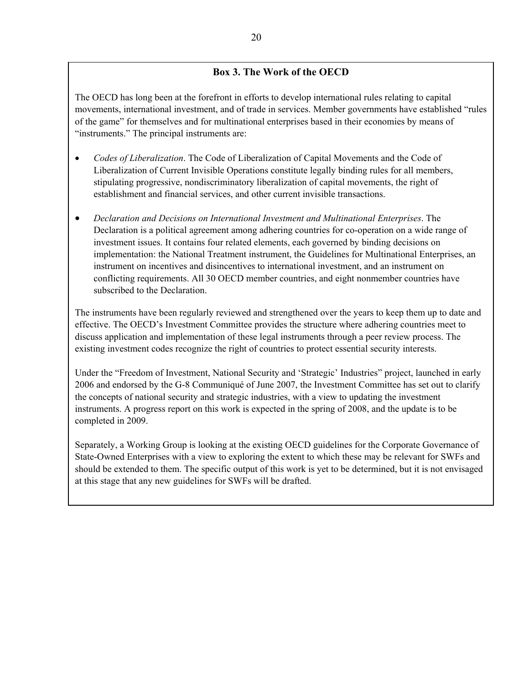### **Box 3. The Work of the OECD**

The OECD has long been at the forefront in efforts to develop international rules relating to capital movements, international investment, and of trade in services. Member governments have established "rules of the game" for themselves and for multinational enterprises based in their economies by means of "instruments." The principal instruments are:

- *Codes of Liberalization*. The Code of Liberalization of Capital Movements and the Code of Liberalization of Current Invisible Operations constitute legally binding rules for all members, stipulating progressive, nondiscriminatory liberalization of capital movements, the right of establishment and financial services, and other current invisible transactions.
- *Declaration and Decisions on International Investment and Multinational Enterprises*. The Declaration is a political agreement among adhering countries for co-operation on a wide range of investment issues. It contains four related elements, each governed by binding decisions on implementation: the National Treatment instrument, the Guidelines for Multinational Enterprises, an instrument on incentives and disincentives to international investment, and an instrument on conflicting requirements. All 30 OECD member countries, and eight nonmember countries have subscribed to the Declaration.

The instruments have been regularly reviewed and strengthened over the years to keep them up to date and effective. The OECD's Investment Committee provides the structure where adhering countries meet to discuss application and implementation of these legal instruments through a peer review process. The existing investment codes recognize the right of countries to protect essential security interests.

Under the "Freedom of Investment, National Security and 'Strategic' Industries" project, launched in early 2006 and endorsed by the G-8 Communiqué of June 2007, the Investment Committee has set out to clarify the concepts of national security and strategic industries, with a view to updating the investment instruments. A progress report on this work is expected in the spring of 2008, and the update is to be completed in 2009.

Separately, a Working Group is looking at the existing OECD guidelines for the Corporate Governance of State-Owned Enterprises with a view to exploring the extent to which these may be relevant for SWFs and should be extended to them. The specific output of this work is yet to be determined, but it is not envisaged at this stage that any new guidelines for SWFs will be drafted.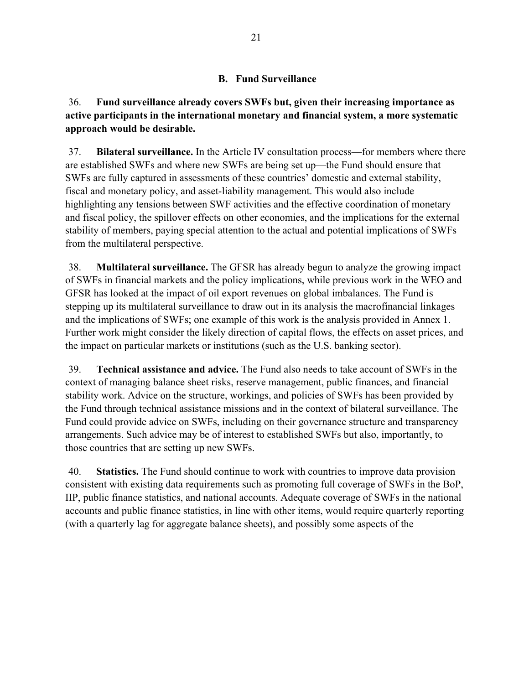#### **B. Fund Surveillance**

36. **Fund surveillance already covers SWFs but, given their increasing importance as active participants in the international monetary and financial system, a more systematic approach would be desirable.**

37. **Bilateral surveillance.** In the Article IV consultation process—for members where there are established SWFs and where new SWFs are being set up—the Fund should ensure that SWFs are fully captured in assessments of these countries' domestic and external stability, fiscal and monetary policy, and asset-liability management. This would also include highlighting any tensions between SWF activities and the effective coordination of monetary and fiscal policy, the spillover effects on other economies, and the implications for the external stability of members, paying special attention to the actual and potential implications of SWFs from the multilateral perspective.

38. **Multilateral surveillance.** The GFSR has already begun to analyze the growing impact of SWFs in financial markets and the policy implications, while previous work in the WEO and GFSR has looked at the impact of oil export revenues on global imbalances. The Fund is stepping up its multilateral surveillance to draw out in its analysis the macrofinancial linkages and the implications of SWFs; one example of this work is the analysis provided in Annex 1. Further work might consider the likely direction of capital flows, the effects on asset prices, and the impact on particular markets or institutions (such as the U.S. banking sector).

39. **Technical assistance and advice.** The Fund also needs to take account of SWFs in the context of managing balance sheet risks, reserve management, public finances, and financial stability work. Advice on the structure, workings, and policies of SWFs has been provided by the Fund through technical assistance missions and in the context of bilateral surveillance. The Fund could provide advice on SWFs, including on their governance structure and transparency arrangements. Such advice may be of interest to established SWFs but also, importantly, to those countries that are setting up new SWFs.

40. **Statistics.** The Fund should continue to work with countries to improve data provision consistent with existing data requirements such as promoting full coverage of SWFs in the BoP, IIP, public finance statistics, and national accounts. Adequate coverage of SWFs in the national accounts and public finance statistics, in line with other items, would require quarterly reporting (with a quarterly lag for aggregate balance sheets), and possibly some aspects of the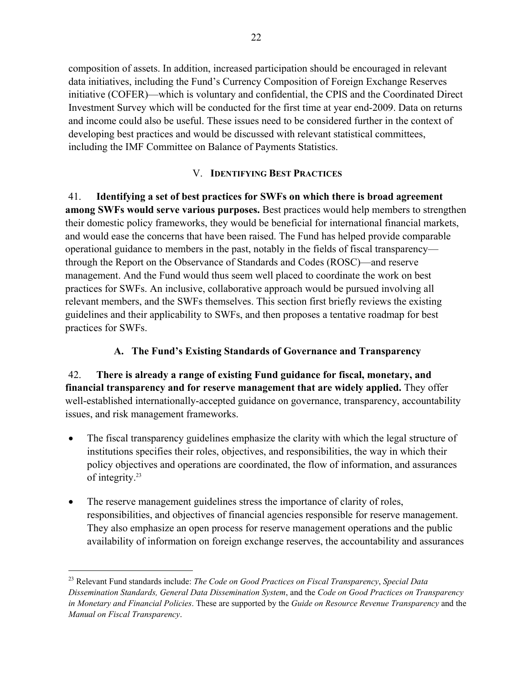composition of assets. In addition, increased participation should be encouraged in relevant data initiatives, including the Fund's Currency Composition of Foreign Exchange Reserves initiative (COFER)—which is voluntary and confidential, the CPIS and the Coordinated Direct Investment Survey which will be conducted for the first time at year end-2009. Data on returns and income could also be useful. These issues need to be considered further in the context of developing best practices and would be discussed with relevant statistical committees, including the IMF Committee on Balance of Payments Statistics.

### V. **IDENTIFYING BEST PRACTICES**

41. **Identifying a set of best practices for SWFs on which there is broad agreement among SWFs would serve various purposes.** Best practices would help members to strengthen their domestic policy frameworks, they would be beneficial for international financial markets, and would ease the concerns that have been raised. The Fund has helped provide comparable operational guidance to members in the past, notably in the fields of fiscal transparency through the Report on the Observance of Standards and Codes (ROSC)—and reserve management. And the Fund would thus seem well placed to coordinate the work on best practices for SWFs. An inclusive, collaborative approach would be pursued involving all relevant members, and the SWFs themselves. This section first briefly reviews the existing guidelines and their applicability to SWFs, and then proposes a tentative roadmap for best practices for SWFs.

# **A. The Fund's Existing Standards of Governance and Transparency**

### 42. **There is already a range of existing Fund guidance for fiscal, monetary, and financial transparency and for reserve management that are widely applied.** They offer well-established internationally-accepted guidance on governance, transparency, accountability issues, and risk management frameworks.

- The fiscal transparency guidelines emphasize the clarity with which the legal structure of institutions specifies their roles, objectives, and responsibilities, the way in which their policy objectives and operations are coordinated, the flow of information, and assurances of integrity.23
- The reserve management guidelines stress the importance of clarity of roles, responsibilities, and objectives of financial agencies responsible for reserve management. They also emphasize an open process for reserve management operations and the public availability of information on foreign exchange reserves, the accountability and assurances

<sup>23</sup> Relevant Fund standards include: *The Code on Good Practices on Fiscal Transparency*, *Special Data Dissemination Standards, General Data Dissemination System*, and the *Code on Good Practices on Transparency in Monetary and Financial Policies*. These are supported by the *Guide on Resource Revenue Transparency* and the *Manual on Fiscal Transparency*.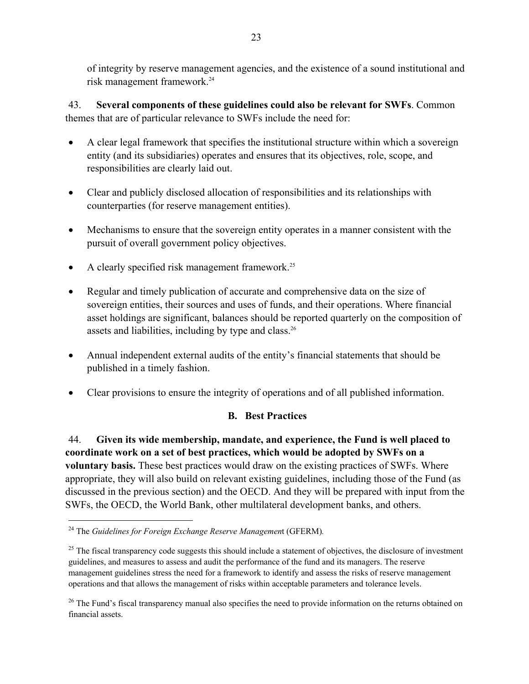of integrity by reserve management agencies, and the existence of a sound institutional and risk management framework.24

43. **Several components of these guidelines could also be relevant for SWFs**. Common themes that are of particular relevance to SWFs include the need for:

- A clear legal framework that specifies the institutional structure within which a sovereign entity (and its subsidiaries) operates and ensures that its objectives, role, scope, and responsibilities are clearly laid out.
- Clear and publicly disclosed allocation of responsibilities and its relationships with counterparties (for reserve management entities).
- Mechanisms to ensure that the sovereign entity operates in a manner consistent with the pursuit of overall government policy objectives.
- A clearly specified risk management framework.<sup>25</sup>
- Regular and timely publication of accurate and comprehensive data on the size of sovereign entities, their sources and uses of funds, and their operations. Where financial asset holdings are significant, balances should be reported quarterly on the composition of assets and liabilities, including by type and class.<sup>26</sup>
- Annual independent external audits of the entity's financial statements that should be published in a timely fashion.
- Clear provisions to ensure the integrity of operations and of all published information.

### **B. Best Practices**

44. **Given its wide membership, mandate, and experience, the Fund is well placed to coordinate work on a set of best practices, which would be adopted by SWFs on a voluntary basis.** These best practices would draw on the existing practices of SWFs. Where appropriate, they will also build on relevant existing guidelines, including those of the Fund (as discussed in the previous section) and the OECD. And they will be prepared with input from the SWFs, the OECD, the World Bank, other multilateral development banks, and others.

<sup>24</sup> The *Guidelines for Foreign Exchange Reserve Managemen*t (GFERM)*.*

 $25$  The fiscal transparency code suggests this should include a statement of objectives, the disclosure of investment guidelines, and measures to assess and audit the performance of the fund and its managers. The reserve management guidelines stress the need for a framework to identify and assess the risks of reserve management operations and that allows the management of risks within acceptable parameters and tolerance levels.

<sup>&</sup>lt;sup>26</sup> The Fund's fiscal transparency manual also specifies the need to provide information on the returns obtained on financial assets.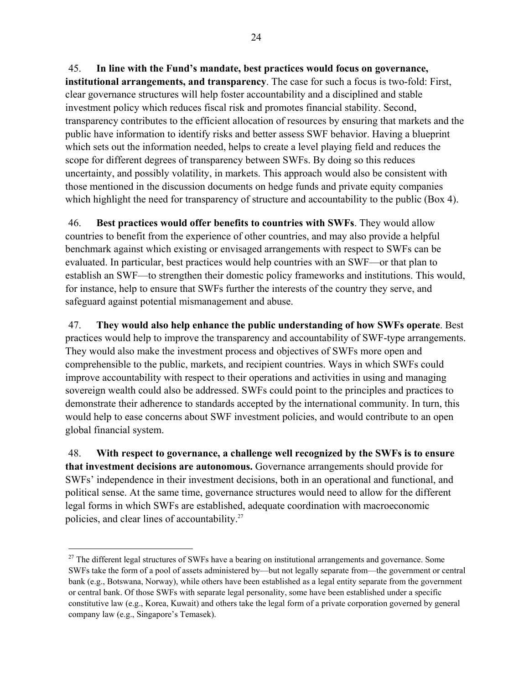45. **In line with the Fund's mandate, best practices would focus on governance, institutional arrangements, and transparency**. The case for such a focus is two-fold: First, clear governance structures will help foster accountability and a disciplined and stable investment policy which reduces fiscal risk and promotes financial stability. Second, transparency contributes to the efficient allocation of resources by ensuring that markets and the public have information to identify risks and better assess SWF behavior. Having a blueprint which sets out the information needed, helps to create a level playing field and reduces the scope for different degrees of transparency between SWFs. By doing so this reduces uncertainty, and possibly volatility, in markets. This approach would also be consistent with those mentioned in the discussion documents on hedge funds and private equity companies which highlight the need for transparency of structure and accountability to the public (Box 4).

46. **Best practices would offer benefits to countries with SWFs**. They would allow countries to benefit from the experience of other countries, and may also provide a helpful benchmark against which existing or envisaged arrangements with respect to SWFs can be evaluated. In particular, best practices would help countries with an SWF—or that plan to establish an SWF—to strengthen their domestic policy frameworks and institutions. This would, for instance, help to ensure that SWFs further the interests of the country they serve, and safeguard against potential mismanagement and abuse.

47. **They would also help enhance the public understanding of how SWFs operate**. Best practices would help to improve the transparency and accountability of SWF-type arrangements. They would also make the investment process and objectives of SWFs more open and comprehensible to the public, markets, and recipient countries. Ways in which SWFs could improve accountability with respect to their operations and activities in using and managing sovereign wealth could also be addressed. SWFs could point to the principles and practices to demonstrate their adherence to standards accepted by the international community. In turn, this would help to ease concerns about SWF investment policies, and would contribute to an open global financial system.

48. **With respect to governance, a challenge well recognized by the SWFs is to ensure that investment decisions are autonomous.** Governance arrangements should provide for SWFs' independence in their investment decisions, both in an operational and functional, and political sense. At the same time, governance structures would need to allow for the different legal forms in which SWFs are established, adequate coordination with macroeconomic policies, and clear lines of accountability.27

 $27$  The different legal structures of SWFs have a bearing on institutional arrangements and governance. Some SWFs take the form of a pool of assets administered by—but not legally separate from—the government or central bank (e.g., Botswana, Norway), while others have been established as a legal entity separate from the government or central bank. Of those SWFs with separate legal personality, some have been established under a specific constitutive law (e.g., Korea, Kuwait) and others take the legal form of a private corporation governed by general company law (e.g., Singapore's Temasek).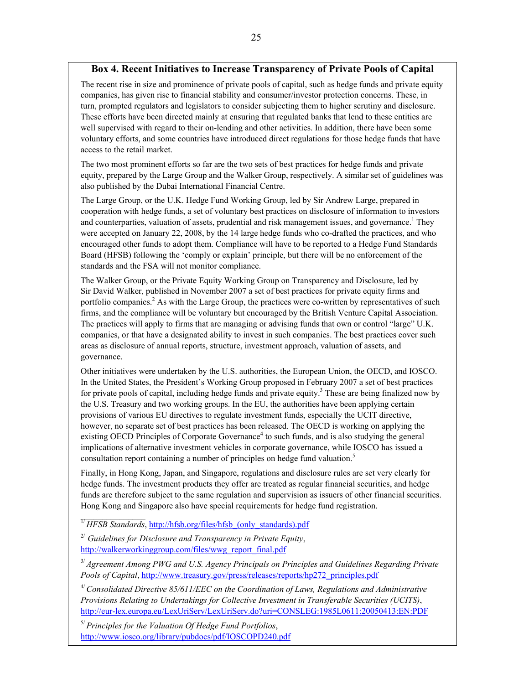### **Box 4. Recent Initiatives to Increase Transparency of Private Pools of Capital**

The recent rise in size and prominence of private pools of capital, such as hedge funds and private equity companies, has given rise to financial stability and consumer/investor protection concerns. These, in turn, prompted regulators and legislators to consider subjecting them to higher scrutiny and disclosure. These efforts have been directed mainly at ensuring that regulated banks that lend to these entities are well supervised with regard to their on-lending and other activities. In addition, there have been some voluntary efforts, and some countries have introduced direct regulations for those hedge funds that have access to the retail market.

The two most prominent efforts so far are the two sets of best practices for hedge funds and private equity, prepared by the Large Group and the Walker Group, respectively. A similar set of guidelines was also published by the Dubai International Financial Centre.

The Large Group, or the U.K. Hedge Fund Working Group, led by Sir Andrew Large, prepared in cooperation with hedge funds, a set of voluntary best practices on disclosure of information to investors and counterparties, valuation of assets, prudential and risk management issues, and governance.<sup>1</sup> They were accepted on January 22, 2008, by the 14 large hedge funds who co-drafted the practices, and who encouraged other funds to adopt them. Compliance will have to be reported to a Hedge Fund Standards Board (HFSB) following the 'comply or explain' principle, but there will be no enforcement of the standards and the FSA will not monitor compliance.

The Walker Group, or the Private Equity Working Group on Transparency and Disclosure, led by Sir David Walker, published in November 2007 a set of best practices for private equity firms and portfolio companies.<sup>2</sup> As with the Large Group, the practices were co-written by representatives of such firms, and the compliance will be voluntary but encouraged by the British Venture Capital Association. The practices will apply to firms that are managing or advising funds that own or control "large" U.K. companies, or that have a designated ability to invest in such companies. The best practices cover such areas as disclosure of annual reports, structure, investment approach, valuation of assets, and governance.

Other initiatives were undertaken by the U.S. authorities, the European Union, the OECD, and IOSCO. In the United States, the President's Working Group proposed in February 2007 a set of best practices for private pools of capital, including hedge funds and private equity.<sup>3</sup> These are being finalized now by the U.S. Treasury and two working groups. In the EU, the authorities have been applying certain provisions of various EU directives to regulate investment funds, especially the UCIT directive, however, no separate set of best practices has been released. The OECD is working on applying the existing OECD Principles of Corporate Governance<sup>4</sup> to such funds, and is also studying the general implications of alternative investment vehicles in corporate governance, while IOSCO has issued a consultation report containing a number of principles on hedge fund valuation.<sup>5</sup>

Finally, in Hong Kong, Japan, and Singapore, regulations and disclosure rules are set very clearly for hedge funds. The investment products they offer are treated as regular financial securities, and hedge funds are therefore subject to the same regulation and supervision as issuers of other financial securities. Hong Kong and Singapore also have special requirements for hedge fund registration.

 $\mathcal{L}_\text{max}$ <sup>1/</sup> *HFSB Standards*, http://hfsb.org/files/hfsb (only standards).pdf

2/ *Guidelines for Disclosure and Transparency in Private Equity*, http://walkerworkinggroup.com/files/wwg\_report\_final.pdf

3/ *Agreement Among PWG and U.S. Agency Principals on Principles and Guidelines Regarding Private Pools of Capital*, http://www.treasury.gov/press/releases/reports/hp272\_principles.pdf

4/ *Consolidated Directive 85/611/EEC on the Coordination of Laws, Regulations and Administrative Provisions Relating to Undertakings for Collective Investment in Transferable Securities (UCITS)*, http://eur-lex.europa.eu/LexUriServ/LexUriServ.do?uri=CONSLEG:1985L0611:20050413:EN:PDF

5/ *Principles for the Valuation Of Hedge Fund Portfolios*, http://www.iosco.org/library/pubdocs/pdf/IOSCOPD240.pdf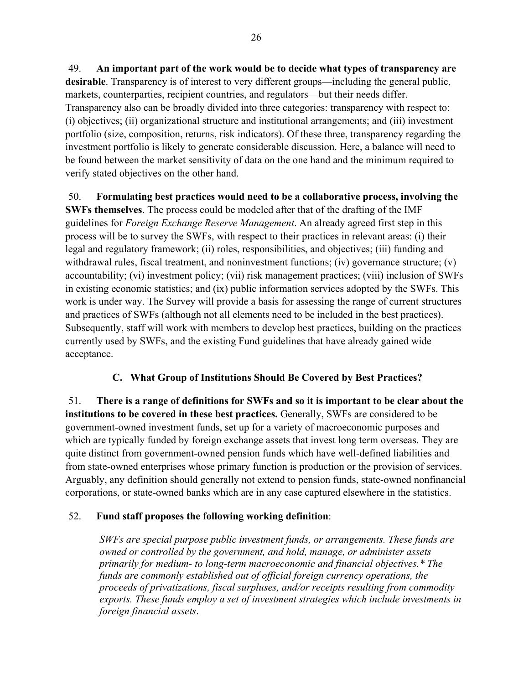49. **An important part of the work would be to decide what types of transparency are desirable**. Transparency is of interest to very different groups—including the general public, markets, counterparties, recipient countries, and regulators—but their needs differ. Transparency also can be broadly divided into three categories: transparency with respect to: (i) objectives; (ii) organizational structure and institutional arrangements; and (iii) investment portfolio (size, composition, returns, risk indicators). Of these three, transparency regarding the investment portfolio is likely to generate considerable discussion. Here, a balance will need to be found between the market sensitivity of data on the one hand and the minimum required to verify stated objectives on the other hand.

50. **Formulating best practices would need to be a collaborative process, involving the SWFs themselves**. The process could be modeled after that of the drafting of the IMF guidelines for *Foreign Exchange Reserve Management*. An already agreed first step in this process will be to survey the SWFs, with respect to their practices in relevant areas: (i) their legal and regulatory framework; (ii) roles, responsibilities, and objectives; (iii) funding and withdrawal rules, fiscal treatment, and noninvestment functions; (iv) governance structure; (v) accountability; (vi) investment policy; (vii) risk management practices; (viii) inclusion of SWFs in existing economic statistics; and (ix) public information services adopted by the SWFs. This work is under way. The Survey will provide a basis for assessing the range of current structures and practices of SWFs (although not all elements need to be included in the best practices). Subsequently, staff will work with members to develop best practices, building on the practices currently used by SWFs, and the existing Fund guidelines that have already gained wide acceptance.

### **C. What Group of Institutions Should Be Covered by Best Practices?**

51. **There is a range of definitions for SWFs and so it is important to be clear about the institutions to be covered in these best practices.** Generally, SWFs are considered to be government-owned investment funds, set up for a variety of macroeconomic purposes and which are typically funded by foreign exchange assets that invest long term overseas. They are quite distinct from government-owned pension funds which have well-defined liabilities and from state-owned enterprises whose primary function is production or the provision of services. Arguably, any definition should generally not extend to pension funds, state-owned nonfinancial corporations, or state-owned banks which are in any case captured elsewhere in the statistics.

### 52. **Fund staff proposes the following working definition**:

*SWFs are special purpose public investment funds, or arrangements. These funds are owned or controlled by the government, and hold, manage, or administer assets primarily for medium- to long-term macroeconomic and financial objectives.\* The funds are commonly established out of official foreign currency operations, the proceeds of privatizations, fiscal surpluses, and/or receipts resulting from commodity exports. These funds employ a set of investment strategies which include investments in foreign financial assets*.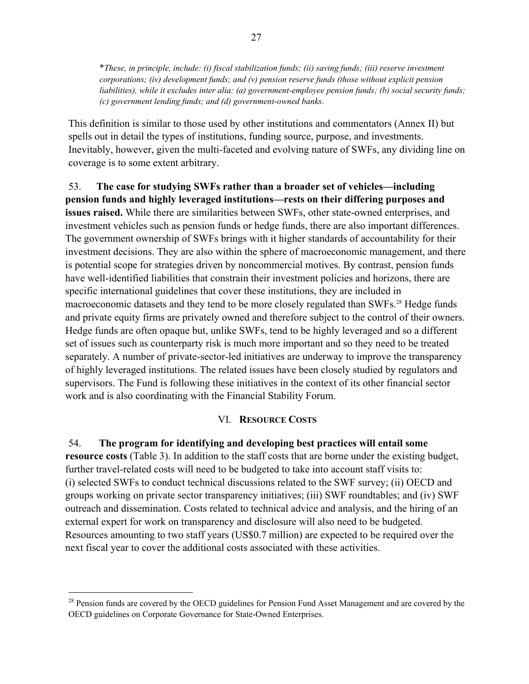\**These, in principle, include: (i) fiscal stabilization funds; (ii) saving funds; (iii) reserve investment corporations; (iv) development funds; and (v) pension reserve funds (those without explicit pension liabilities), while it excludes inter alia: (a) government-employee pension funds; (b) social security funds; (c) government lending funds; and (d) government-owned banks*.

This definition is similar to those used by other institutions and commentators (Annex II) but spells out in detail the types of institutions, funding source, purpose, and investments. Inevitably, however, given the multi-faceted and evolving nature of SWFs, any dividing line on coverage is to some extent arbitrary.

53. **The case for studying SWFs rather than a broader set of vehicles—including pension funds and highly leveraged institutions—rests on their differing purposes and issues raised.** While there are similarities between SWFs, other state-owned enterprises, and investment vehicles such as pension funds or hedge funds, there are also important differences. The government ownership of SWFs brings with it higher standards of accountability for their investment decisions. They are also within the sphere of macroeconomic management, and there is potential scope for strategies driven by noncommercial motives. By contrast, pension funds have well-identified liabilities that constrain their investment policies and horizons, there are specific international guidelines that cover these institutions, they are included in macroeconomic datasets and they tend to be more closely regulated than SWFs.<sup>28</sup> Hedge funds and private equity firms are privately owned and therefore subject to the control of their owners. Hedge funds are often opaque but, unlike SWFs, tend to be highly leveraged and so a different set of issues such as counterparty risk is much more important and so they need to be treated separately. A number of private-sector-led initiatives are underway to improve the transparency of highly leveraged institutions. The related issues have been closely studied by regulators and supervisors. The Fund is following these initiatives in the context of its other financial sector work and is also coordinating with the Financial Stability Forum.

#### VI. **RESOURCE COSTS**

54. **The program for identifying and developing best practices will entail some resource costs** (Table 3). In addition to the staff costs that are borne under the existing budget, further travel-related costs will need to be budgeted to take into account staff visits to: (i) selected SWFs to conduct technical discussions related to the SWF survey; (ii) OECD and groups working on private sector transparency initiatives; (iii) SWF roundtables; and (iv) SWF outreach and dissemination. Costs related to technical advice and analysis, and the hiring of an external expert for work on transparency and disclosure will also need to be budgeted. Resources amounting to two staff years (US\$0.7 million) are expected to be required over the next fiscal year to cover the additional costs associated with these activities.

<sup>&</sup>lt;sup>28</sup> Pension funds are covered by the OECD guidelines for Pension Fund Asset Management and are covered by the OECD guidelines on Corporate Governance for State-Owned Enterprises.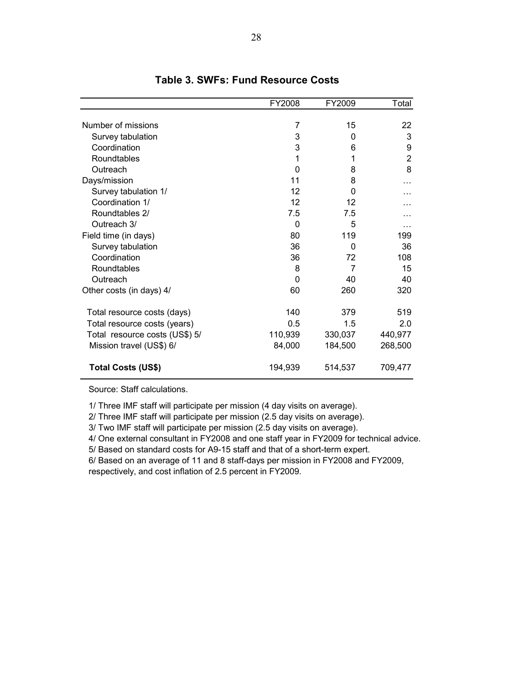|                                | FY2008  | FY2009  | Total          |
|--------------------------------|---------|---------|----------------|
|                                |         |         |                |
| Number of missions             | 7       | 15      | 22             |
| Survey tabulation              | 3       | 0       | 3              |
| Coordination                   | 3       | 6       | 9              |
| Roundtables                    | 1       | 1       | $\overline{2}$ |
| Outreach                       | 0       | 8       | 8              |
| Days/mission                   | 11      | 8       |                |
| Survey tabulation 1/           | 12      | 0       |                |
| Coordination 1/                | 12      | 12      |                |
| Roundtables 2/                 | 7.5     | 7.5     |                |
| Outreach 3/                    | 0       | 5       | .              |
| Field time (in days)           | 80      | 119     | 199            |
| Survey tabulation              | 36      | 0       | 36             |
| Coordination                   | 36      | 72      | 108            |
| Roundtables                    | 8       | 7       | 15             |
| Outreach                       | 0       | 40      | 40             |
| Other costs (in days) 4/       | 60      | 260     | 320            |
| Total resource costs (days)    | 140     | 379     | 519            |
| Total resource costs (years)   | 0.5     | 1.5     | 2.0            |
| Total resource costs (US\$) 5/ | 110,939 | 330,037 | 440,977        |
| Mission travel (US\$) 6/       | 84,000  | 184,500 | 268,500        |
| <b>Total Costs (US\$)</b>      | 194,939 | 514,537 | 709,477        |

### **Table 3. SWFs: Fund Resource Costs**

Source: Staff calculations.

1/ Three IMF staff will participate per mission (4 day visits on average).

2/ Three IMF staff will participate per mission (2.5 day visits on average).

3/ Two IMF staff will participate per mission (2.5 day visits on average).

4/ One external consultant in FY2008 and one staff year in FY2009 for technical advice.

5/ Based on standard costs for A9-15 staff and that of a short-term expert.

6/ Based on an average of 11 and 8 staff-days per mission in FY2008 and FY2009,

respectively, and cost inflation of 2.5 percent in FY2009.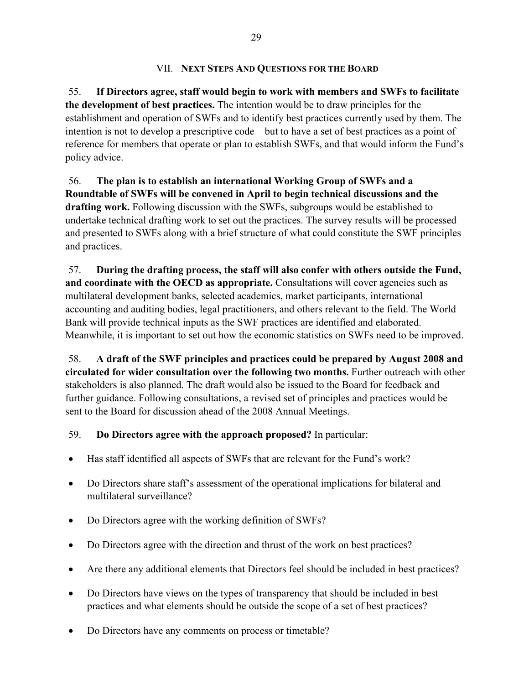### VII. **NEXT STEPS AND QUESTIONS FOR THE BOARD**

55. **If Directors agree, staff would begin to work with members and SWFs to facilitate the development of best practices.** The intention would be to draw principles for the establishment and operation of SWFs and to identify best practices currently used by them. The intention is not to develop a prescriptive code—but to have a set of best practices as a point of reference for members that operate or plan to establish SWFs, and that would inform the Fund's policy advice.

56. **The plan is to establish an international Working Group of SWFs and a Roundtable of SWFs will be convened in April to begin technical discussions and the drafting work.** Following discussion with the SWFs, subgroups would be established to undertake technical drafting work to set out the practices. The survey results will be processed and presented to SWFs along with a brief structure of what could constitute the SWF principles and practices.

57. **During the drafting process, the staff will also confer with others outside the Fund, and coordinate with the OECD as appropriate.** Consultations will cover agencies such as multilateral development banks, selected academics, market participants, international accounting and auditing bodies, legal practitioners, and others relevant to the field. The World Bank will provide technical inputs as the SWF practices are identified and elaborated. Meanwhile, it is important to set out how the economic statistics on SWFs need to be improved.

58. **A draft of the SWF principles and practices could be prepared by August 2008 and circulated for wider consultation over the following two months.** Further outreach with other stakeholders is also planned. The draft would also be issued to the Board for feedback and further guidance. Following consultations, a revised set of principles and practices would be sent to the Board for discussion ahead of the 2008 Annual Meetings.

### 59. **Do Directors agree with the approach proposed?** In particular:

- Has staff identified all aspects of SWFs that are relevant for the Fund's work?
- Do Directors share staff's assessment of the operational implications for bilateral and multilateral surveillance?
- Do Directors agree with the working definition of SWFs?
- Do Directors agree with the direction and thrust of the work on best practices?
- Are there any additional elements that Directors feel should be included in best practices?
- Do Directors have views on the types of transparency that should be included in best practices and what elements should be outside the scope of a set of best practices?
- Do Directors have any comments on process or timetable?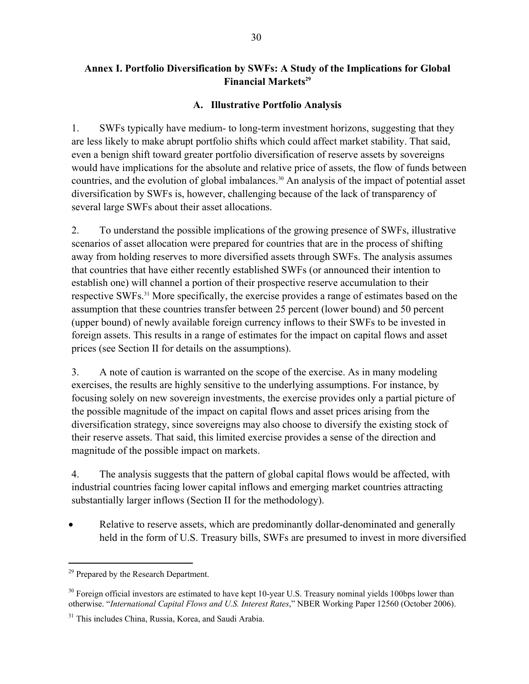### **Annex I. Portfolio Diversification by SWFs: A Study of the Implications for Global Financial Markets<sup>29</sup>**

#### **A. Illustrative Portfolio Analysis**

1. SWFs typically have medium- to long-term investment horizons, suggesting that they are less likely to make abrupt portfolio shifts which could affect market stability. That said, even a benign shift toward greater portfolio diversification of reserve assets by sovereigns would have implications for the absolute and relative price of assets, the flow of funds between countries, and the evolution of global imbalances.<sup>30</sup> An analysis of the impact of potential asset diversification by SWFs is, however, challenging because of the lack of transparency of several large SWFs about their asset allocations.

2. To understand the possible implications of the growing presence of SWFs, illustrative scenarios of asset allocation were prepared for countries that are in the process of shifting away from holding reserves to more diversified assets through SWFs. The analysis assumes that countries that have either recently established SWFs (or announced their intention to establish one) will channel a portion of their prospective reserve accumulation to their respective SWFs.<sup>31</sup> More specifically, the exercise provides a range of estimates based on the assumption that these countries transfer between 25 percent (lower bound) and 50 percent (upper bound) of newly available foreign currency inflows to their SWFs to be invested in foreign assets. This results in a range of estimates for the impact on capital flows and asset prices (see Section II for details on the assumptions).

3. A note of caution is warranted on the scope of the exercise. As in many modeling exercises, the results are highly sensitive to the underlying assumptions. For instance, by focusing solely on new sovereign investments, the exercise provides only a partial picture of the possible magnitude of the impact on capital flows and asset prices arising from the diversification strategy, since sovereigns may also choose to diversify the existing stock of their reserve assets. That said, this limited exercise provides a sense of the direction and magnitude of the possible impact on markets.

4. The analysis suggests that the pattern of global capital flows would be affected, with industrial countries facing lower capital inflows and emerging market countries attracting substantially larger inflows (Section II for the methodology).

Relative to reserve assets, which are predominantly dollar-denominated and generally held in the form of U.S. Treasury bills, SWFs are presumed to invest in more diversified

<sup>&</sup>lt;sup>29</sup> Prepared by the Research Department.

<sup>&</sup>lt;sup>30</sup> Foreign official investors are estimated to have kept 10-year U.S. Treasury nominal yields 100bps lower than otherwise. "*International Capital Flows and U.S. Interest Rates*," NBER Working Paper 12560 (October 2006).

<sup>&</sup>lt;sup>31</sup> This includes China, Russia, Korea, and Saudi Arabia.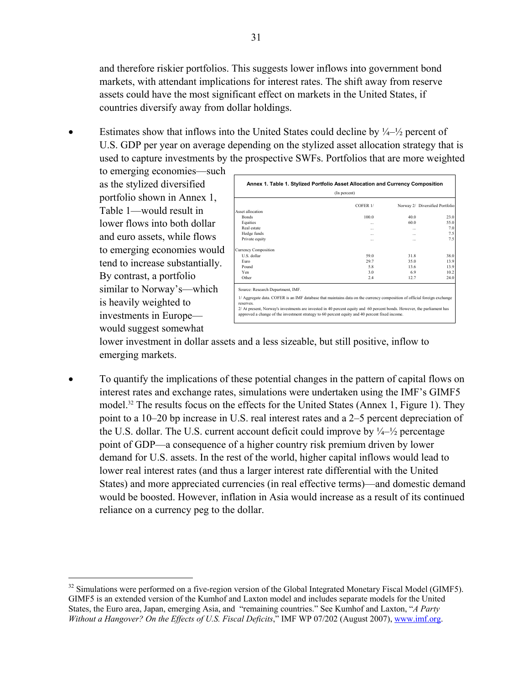and therefore riskier portfolios. This suggests lower inflows into government bond markets, with attendant implications for interest rates. The shift away from reserve assets could have the most significant effect on markets in the United States, if countries diversify away from dollar holdings.

Estimates show that inflows into the United States could decline by  $\frac{1}{4} - \frac{1}{2}$  percent of U.S. GDP per year on average depending on the stylized asset allocation strategy that is used to capture investments by the prospective SWFs. Portfolios that are more weighted

to emerging economies—such as the stylized diversified portfolio shown in Annex 1, Table 1—would result in lower flows into both dollar and euro assets, while flows to emerging economies would tend to increase substantially. By contrast, a portfolio similar to Norway's—which is heavily weighted to investments in Europe would suggest somewhat

 $\overline{a}$ 

| $COFER$ $1/$<br>1000 | Norway 2/ Diversified Portfolio |                                                                                                                          |
|----------------------|---------------------------------|--------------------------------------------------------------------------------------------------------------------------|
|                      |                                 |                                                                                                                          |
|                      |                                 |                                                                                                                          |
|                      | 400                             | 23.0                                                                                                                     |
| $\cdots$             | 60.0                            | 55.0                                                                                                                     |
| $\cdots$             | $\cdots$                        | 7.0                                                                                                                      |
|                      |                                 | 7.5                                                                                                                      |
| $\cdots$             |                                 | 7.5                                                                                                                      |
|                      |                                 |                                                                                                                          |
| 59.0                 | 318                             | 38.0                                                                                                                     |
| 29.7                 | 35.0                            | 13.9                                                                                                                     |
| 58                   | 13.6                            | 13.9                                                                                                                     |
| 30                   | 69                              | 10.2                                                                                                                     |
| 2.4                  | 12.7                            | 24.0                                                                                                                     |
|                      |                                 | 1/ Aggregate data. COFER is an IMF database that maintains data on the currency composition of official foreign exchange |

lower investment in dollar assets and a less sizeable, but still positive, inflow to emerging markets.

• To quantify the implications of these potential changes in the pattern of capital flows on interest rates and exchange rates, simulations were undertaken using the IMF's GIMF5 model.<sup>32</sup> The results focus on the effects for the United States (Annex 1, Figure 1). They point to a 10–20 bp increase in U.S. real interest rates and a 2–5 percent depreciation of the U.S. dollar. The U.S. current account deficit could improve by  $\frac{1}{4}$  percentage point of GDP—a consequence of a higher country risk premium driven by lower demand for U.S. assets. In the rest of the world, higher capital inflows would lead to lower real interest rates (and thus a larger interest rate differential with the United States) and more appreciated currencies (in real effective terms)—and domestic demand would be boosted. However, inflation in Asia would increase as a result of its continued reliance on a currency peg to the dollar.

<sup>&</sup>lt;sup>32</sup> Simulations were performed on a five-region version of the Global Integrated Monetary Fiscal Model (GIMF5). GIMF5 is an extended version of the Kumhof and Laxton model and includes separate models for the United States, the Euro area, Japan, emerging Asia, and "remaining countries." See Kumhof and Laxton, "*A Party Without a Hangover? On the Effects of U.S. Fiscal Deficits*," IMF WP 07/202 (August 2007), www.imf.org.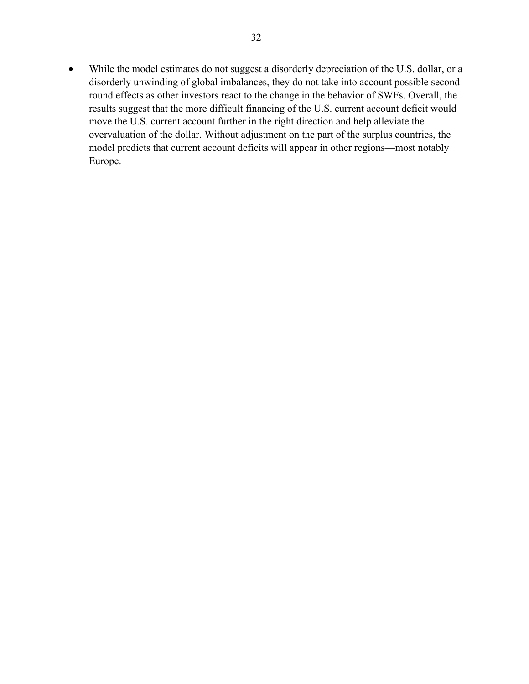• While the model estimates do not suggest a disorderly depreciation of the U.S. dollar, or a disorderly unwinding of global imbalances, they do not take into account possible second round effects as other investors react to the change in the behavior of SWFs. Overall, the results suggest that the more difficult financing of the U.S. current account deficit would move the U.S. current account further in the right direction and help alleviate the overvaluation of the dollar. Without adjustment on the part of the surplus countries, the model predicts that current account deficits will appear in other regions—most notably Europe.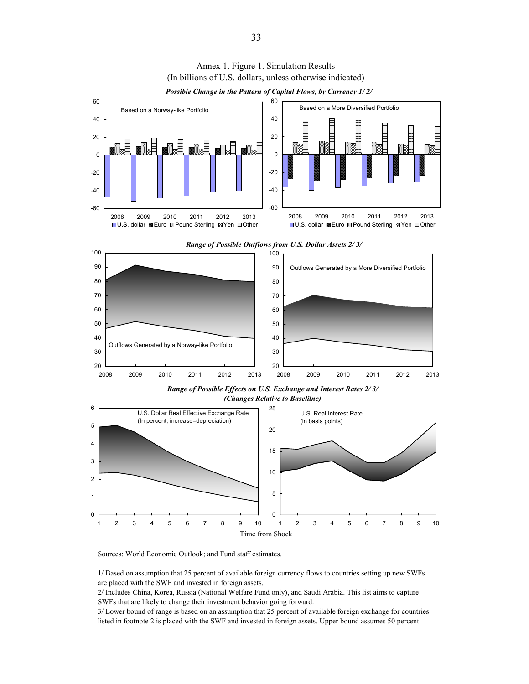

Annex 1. Figure 1. Simulation Results (In billions of U.S. dollars, unless otherwise indicated)

*Possible Change in the Pattern of Capital Flows, by Currency 1/ 2/*

Sources: World Economic Outlook; and Fund staff estimates.

1/ Based on assumption that 25 percent of available foreign currency flows to countries setting up new SWFs are placed with the SWF and invested in foreign assets.

2/ Includes China, Korea, Russia (National Welfare Fund only), and Saudi Arabia. This list aims to capture SWFs that are likely to change their investment behavior going forward.

3/ Lower bound of range is based on an assumption that 25 percent of available foreign exchange for countries listed in footnote 2 is placed with the SWF and invested in foreign assets. Upper bound assumes 50 percent.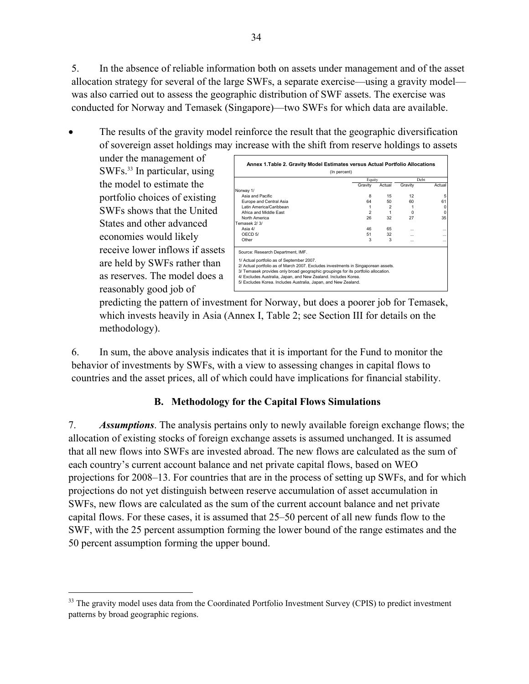5. In the absence of reliable information both on assets under management and of the asset allocation strategy for several of the large SWFs, a separate exercise—using a gravity model was also carried out to assess the geographic distribution of SWF assets. The exercise was conducted for Norway and Temasek (Singapore)—two SWFs for which data are available.

• The results of the gravity model reinforce the result that the geographic diversification of sovereign asset holdings may increase with the shift from reserve holdings to assets

under the management of SWFs.<sup>33</sup> In particular, using the model to estimate the portfolio choices of existing SWFs shows that the United States and other advanced economies would likely receive lower inflows if assets are held by SWFs rather than as reserves. The model does a reasonably good job of

 $\overline{a}$ 

|                                                                                                                                                                                                                                                                                                                                                                                              | Equity         |                | Deht    |          |
|----------------------------------------------------------------------------------------------------------------------------------------------------------------------------------------------------------------------------------------------------------------------------------------------------------------------------------------------------------------------------------------------|----------------|----------------|---------|----------|
|                                                                                                                                                                                                                                                                                                                                                                                              | Gravity        | Actual         | Gravity | Actual   |
| Norway 1/                                                                                                                                                                                                                                                                                                                                                                                    |                |                |         |          |
| Asia and Pacific                                                                                                                                                                                                                                                                                                                                                                             | 8              | 15             | 12      | 5        |
| Europe and Central Asia                                                                                                                                                                                                                                                                                                                                                                      | 64             | 50             | 60      | 61       |
| Latin America/Caribbean                                                                                                                                                                                                                                                                                                                                                                      | 1              | $\overline{2}$ |         | $\Omega$ |
| Africa and Middle Fast                                                                                                                                                                                                                                                                                                                                                                       | $\overline{a}$ | 1              | n       | $\Omega$ |
| North America                                                                                                                                                                                                                                                                                                                                                                                | 26             | 32             | 27      | 35       |
| Temasek 2/3/                                                                                                                                                                                                                                                                                                                                                                                 |                |                |         |          |
| Asia $4/$                                                                                                                                                                                                                                                                                                                                                                                    | 46             | 65             |         | $\cdots$ |
| OFCD 5/                                                                                                                                                                                                                                                                                                                                                                                      | 51             | 32             |         |          |
| Other                                                                                                                                                                                                                                                                                                                                                                                        | 3              | 3              | $\sim$  |          |
| Source: Research Department, IMF.<br>1/ Actual portfolio as of September 2007.<br>2/ Actual portfolio as of March 2007. Excludes investments in Singaporean assets.<br>3/ Temasek provides only broad geographic groupings for its portfolio allocation.<br>4/ Excludes Australia, Japan, and New Zealand. Includes Korea.<br>5/ Excludes Korea. Includes Australia, Japan, and New Zealand. |                |                |         |          |

predicting the pattern of investment for Norway, but does a poorer job for Temasek, which invests heavily in Asia (Annex I, Table 2; see Section III for details on the methodology).

6. In sum, the above analysis indicates that it is important for the Fund to monitor the behavior of investments by SWFs, with a view to assessing changes in capital flows to countries and the asset prices, all of which could have implications for financial stability.

### **B. Methodology for the Capital Flows Simulations**

7. *Assumptions*. The analysis pertains only to newly available foreign exchange flows; the allocation of existing stocks of foreign exchange assets is assumed unchanged. It is assumed that all new flows into SWFs are invested abroad. The new flows are calculated as the sum of each country's current account balance and net private capital flows, based on WEO projections for 2008–13. For countries that are in the process of setting up SWFs, and for which projections do not yet distinguish between reserve accumulation of asset accumulation in SWFs, new flows are calculated as the sum of the current account balance and net private capital flows. For these cases, it is assumed that 25–50 percent of all new funds flow to the SWF, with the 25 percent assumption forming the lower bound of the range estimates and the 50 percent assumption forming the upper bound.

<sup>&</sup>lt;sup>33</sup> The gravity model uses data from the Coordinated Portfolio Investment Survey (CPIS) to predict investment patterns by broad geographic regions.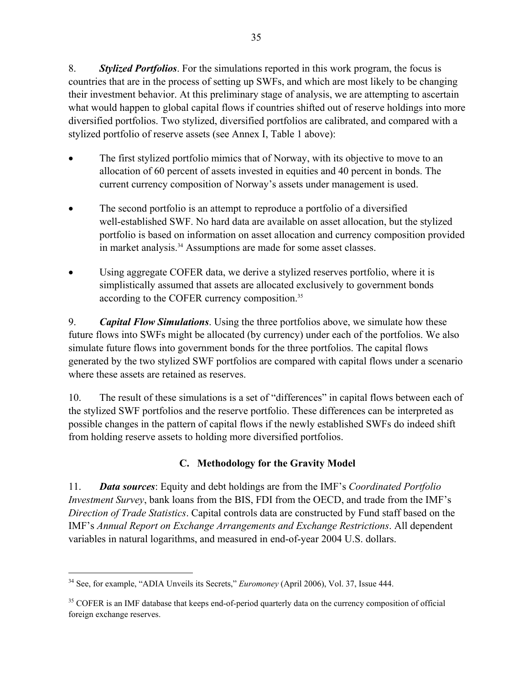8. *Stylized Portfolios*. For the simulations reported in this work program, the focus is countries that are in the process of setting up SWFs, and which are most likely to be changing their investment behavior. At this preliminary stage of analysis, we are attempting to ascertain what would happen to global capital flows if countries shifted out of reserve holdings into more diversified portfolios. Two stylized, diversified portfolios are calibrated, and compared with a stylized portfolio of reserve assets (see Annex I, Table 1 above):

- The first stylized portfolio mimics that of Norway, with its objective to move to an allocation of 60 percent of assets invested in equities and 40 percent in bonds. The current currency composition of Norway's assets under management is used.
- The second portfolio is an attempt to reproduce a portfolio of a diversified well-established SWF. No hard data are available on asset allocation, but the stylized portfolio is based on information on asset allocation and currency composition provided in market analysis.<sup>34</sup> Assumptions are made for some asset classes.
- Using aggregate COFER data, we derive a stylized reserves portfolio, where it is simplistically assumed that assets are allocated exclusively to government bonds according to the COFER currency composition.<sup>35</sup>

9. *Capital Flow Simulations*. Using the three portfolios above, we simulate how these future flows into SWFs might be allocated (by currency) under each of the portfolios. We also simulate future flows into government bonds for the three portfolios. The capital flows generated by the two stylized SWF portfolios are compared with capital flows under a scenario where these assets are retained as reserves.

10. The result of these simulations is a set of "differences" in capital flows between each of the stylized SWF portfolios and the reserve portfolio. These differences can be interpreted as possible changes in the pattern of capital flows if the newly established SWFs do indeed shift from holding reserve assets to holding more diversified portfolios.

# **C. Methodology for the Gravity Model**

11. *Data sources*: Equity and debt holdings are from the IMF's *Coordinated Portfolio Investment Survey*, bank loans from the BIS, FDI from the OECD, and trade from the IMF's *Direction of Trade Statistics*. Capital controls data are constructed by Fund staff based on the IMF's *Annual Report on Exchange Arrangements and Exchange Restrictions*. All dependent variables in natural logarithms, and measured in end-of-year 2004 U.S. dollars.

<sup>34</sup> See, for example, "ADIA Unveils its Secrets," *Euromoney* (April 2006), Vol. 37, Issue 444.

<sup>&</sup>lt;sup>35</sup> COFER is an IMF database that keeps end-of-period quarterly data on the currency composition of official foreign exchange reserves.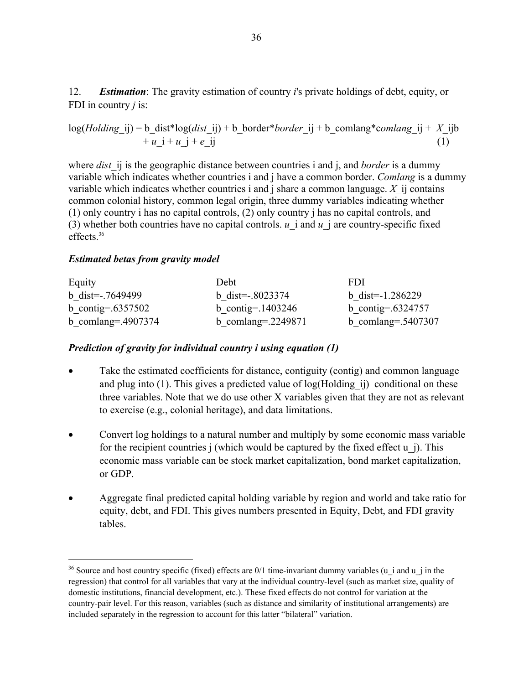12. *Estimation*: The gravity estimation of country *i*'s private holdings of debt, equity, or FDI in country *j* is:

$$
log(Holding\_ij) = b\_dist * log(dist\_ij) + b\_border * border\_ij + b\_comlang *comlang\_ij + X\_ijb + u_i + u_j + e_{ij}
$$
\n(1)

where *dist* ij is the geographic distance between countries i and j, and *border* is a dummy variable which indicates whether countries i and j have a common border. *Comlang* is a dummy variable which indicates whether countries i and j share a common language. *X*\_ij contains common colonial history, common legal origin, three dummy variables indicating whether (1) only country i has no capital controls, (2) only country j has no capital controls, and (3) whether both countries have no capital controls. *u* i and *u* j are country-specific fixed effects.36

#### *Estimated betas from gravity model*

 $\overline{a}$ 

| <b>Equity</b>         | Debt                  | FDI                   |
|-----------------------|-----------------------|-----------------------|
| b dist= $-0.7649499$  | b dist= $-0.8023374$  | b dist= $-1.286229$   |
| b contig=.6357502     | b contig=.1403246     | b contig=.6324757     |
| b comlang= $.4907374$ | b comlang= $.2249871$ | b comlang= $.5407307$ |

#### *Prediction of gravity for individual country i using equation (1)*

- Take the estimated coefficients for distance, contiguity (contig) and common language and plug into (1). This gives a predicted value of log(Holding\_ij) conditional on these three variables. Note that we do use other X variables given that they are not as relevant to exercise (e.g., colonial heritage), and data limitations.
- Convert log holdings to a natural number and multiply by some economic mass variable for the recipient countries  $\mathbf i$  (which would be captured by the fixed effect  $\mathbf u$   $\mathbf i$ ). This economic mass variable can be stock market capitalization, bond market capitalization, or GDP.
- Aggregate final predicted capital holding variable by region and world and take ratio for equity, debt, and FDI. This gives numbers presented in Equity, Debt, and FDI gravity tables.

<sup>&</sup>lt;sup>36</sup> Source and host country specific (fixed) effects are  $0/1$  time-invariant dummy variables (u\_i and u\_j in the regression) that control for all variables that vary at the individual country-level (such as market size, quality of domestic institutions, financial development, etc.). These fixed effects do not control for variation at the country-pair level. For this reason, variables (such as distance and similarity of institutional arrangements) are included separately in the regression to account for this latter "bilateral" variation.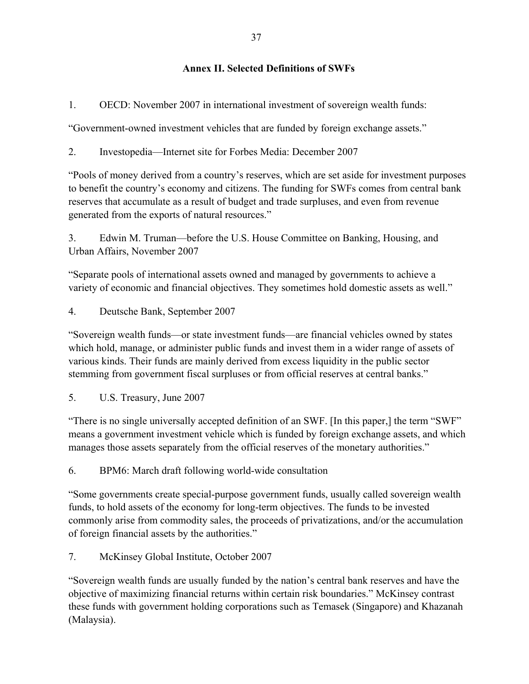### **Annex II. Selected Definitions of SWFs**

1. OECD: November 2007 in international investment of sovereign wealth funds:

"Government-owned investment vehicles that are funded by foreign exchange assets."

2. Investopedia—Internet site for Forbes Media: December 2007

"Pools of money derived from a country's reserves, which are set aside for investment purposes to benefit the country's economy and citizens. The funding for SWFs comes from central bank reserves that accumulate as a result of budget and trade surpluses, and even from revenue generated from the exports of natural resources."

3. Edwin M. Truman—before the U.S. House Committee on Banking, Housing, and Urban Affairs, November 2007

"Separate pools of international assets owned and managed by governments to achieve a variety of economic and financial objectives. They sometimes hold domestic assets as well."

4. Deutsche Bank, September 2007

"Sovereign wealth funds—or state investment funds—are financial vehicles owned by states which hold, manage, or administer public funds and invest them in a wider range of assets of various kinds. Their funds are mainly derived from excess liquidity in the public sector stemming from government fiscal surpluses or from official reserves at central banks."

5. U.S. Treasury, June 2007

"There is no single universally accepted definition of an SWF. [In this paper,] the term "SWF" means a government investment vehicle which is funded by foreign exchange assets, and which manages those assets separately from the official reserves of the monetary authorities."

6. BPM6: March draft following world-wide consultation

"Some governments create special-purpose government funds, usually called sovereign wealth funds, to hold assets of the economy for long-term objectives. The funds to be invested commonly arise from commodity sales, the proceeds of privatizations, and/or the accumulation of foreign financial assets by the authorities."

7. McKinsey Global Institute, October 2007

"Sovereign wealth funds are usually funded by the nation's central bank reserves and have the objective of maximizing financial returns within certain risk boundaries." McKinsey contrast these funds with government holding corporations such as Temasek (Singapore) and Khazanah (Malaysia).